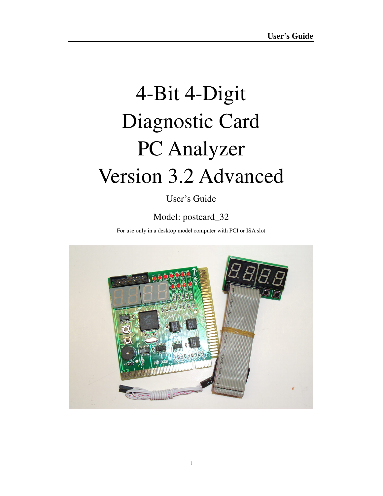# 4-Bit 4-Digit Diagnostic Card PC Analyzer Version 3.2 Advanced

# User's Guide

# Model: postcard\_32

For use only in a desktop model computer with PCI or ISA slot

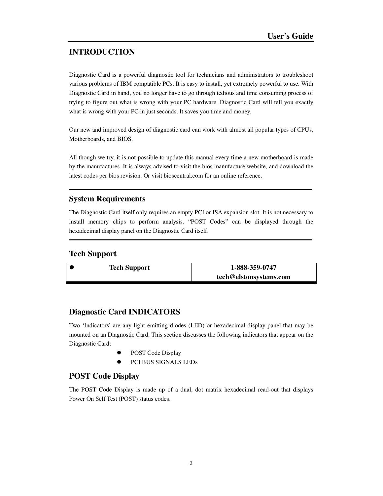## **INTRODUCTION**

Diagnostic Card is a powerful diagnostic tool for technicians and administrators to troubleshoot various problems of IBM compatible PCs. It is easy to install, yet extremely powerful to use. With Diagnostic Card in hand, you no longer have to go through tedious and time consuming process of trying to figure out what is wrong with your PC hardware. Diagnostic Card will tell you exactly what is wrong with your PC in just seconds. It saves you time and money.

Our new and improved design of diagnostic card can work with almost all popular types of CPUs, Motherboards, and BIOS.

All though we try, it is not possible to update this manual every time a new motherboard is made by the manufactures. It is always advised to visit the bios manufacture website, and download the latest codes per bios revision. Or visit bioscentral.com for an online reference.

### **System Requirements**

The Diagnostic Card itself only requires an empty PCI or ISA expansion slot. It is not necessary to install memory chips to perform analysis. "POST Codes" can be displayed through the hexadecimal display panel on the Diagnostic Card itself.

#### **Tech Support**

 **Tech Support 1-888-359-0747 tech@elstonsystems.com** 

#### **Diagnostic Card INDICATORS**

Two 'Indicators' are any light emitting diodes (LED) or hexadecimal display panel that may be mounted on an Diagnostic Card. This section discusses the following indicators that appear on the Diagnostic Card:

- POST Code Display
- PCI BUS SIGNALS LEDs

#### **POST Code Display**

The POST Code Display is made up of a dual, dot matrix hexadecimal read-out that displays Power On Self Test (POST) status codes.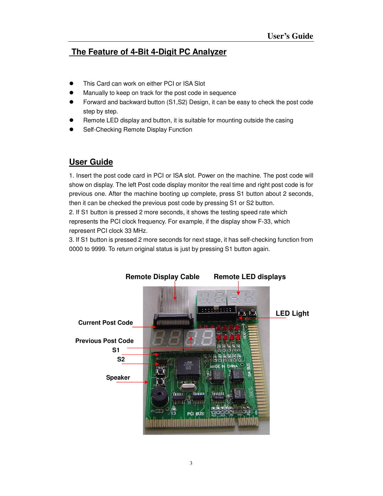# **The Feature of 4-Bit 4-Digit PC Analyzer**

- This Card can work on either PCI or ISA Slot
- Manually to keep on track for the post code in sequence
- Forward and backward button (S1,S2) Design, it can be easy to check the post code step by step.
- Remote LED display and button, it is suitable for mounting outside the casing
- Self-Checking Remote Display Function

# **User Guide**

1. Insert the post code card in PCI or ISA slot. Power on the machine. The post code will show on display. The left Post code display monitor the real time and right post code is for previous one. After the machine booting up complete, press S1 button about 2 seconds, then it can be checked the previous post code by pressing S1 or S2 button.

2. If S1 button is pressed 2 more seconds, it shows the testing speed rate which represents the PCI clock frequency. For example, if the display show F-33, which represent PCI clock 33 MHz.

3. If S1 button is pressed 2 more seconds for next stage, it has self-checking function from 0000 to 9999. To return original status is just by pressing S1 button again.

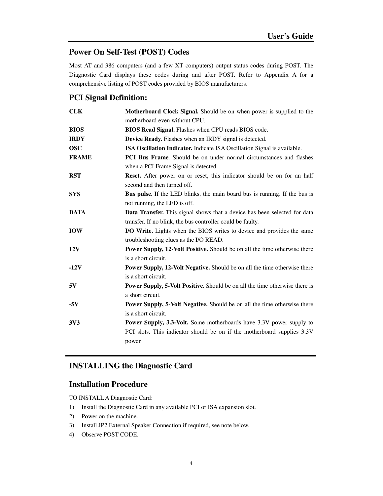### **Power On Self-Test (POST) Codes**

Most AT and 386 computers (and a few XT computers) output status codes during POST. The Diagnostic Card displays these codes during and after POST. Refer to Appendix A for a comprehensive listing of POST codes provided by BIOS manufacturers.

#### **PCI Signal Definition:**

| <b>CLK</b>   | Motherboard Clock Signal. Should be on when power is supplied to the              |
|--------------|-----------------------------------------------------------------------------------|
|              | motherboard even without CPU.                                                     |
| <b>BIOS</b>  | BIOS Read Signal. Flashes when CPU reads BIOS code.                               |
| <b>IRDY</b>  | Device Ready. Flashes when an IRDY signal is detected.                            |
| <b>OSC</b>   | ISA Oscillation Indicator. Indicate ISA Oscillation Signal is available.          |
| <b>FRAME</b> | <b>PCI Bus Frame.</b> Should be on under normal circumstances and flashes         |
|              | when a PCI Frame Signal is detected.                                              |
| <b>RST</b>   | Reset. After power on or reset, this indicator should be on for an half           |
|              | second and then turned off.                                                       |
| <b>SYS</b>   | <b>Bus pulse.</b> If the LED blinks, the main board bus is running. If the bus is |
|              | not running, the LED is off.                                                      |
| <b>DATA</b>  | Data Transfer. This signal shows that a device has been selected for data         |
|              | transfer. If no blink, the bus controller could be faulty.                        |
| <b>IOW</b>   | I/O Write. Lights when the BIOS writes to device and provides the same            |
|              | troubleshooting clues as the I/O READ.                                            |
| 12V          | Power Supply, 12-Volt Positive. Should be on all the time otherwise there         |
|              | is a short circuit.                                                               |
| $-12V$       | <b>Power Supply, 12-Volt Negative.</b> Should be on all the time otherwise there  |
|              | is a short circuit.                                                               |
| 5V           | Power Supply, 5-Volt Positive. Should be on all the time otherwise there is       |
|              | a short circuit.                                                                  |
| $-5V$        | <b>Power Supply, 5-Volt Negative.</b> Should be on all the time otherwise there   |
|              | is a short circuit.                                                               |
| 3V3          | <b>Power Supply, 3.3-Volt.</b> Some motherboards have 3.3V power supply to        |
|              | PCI slots. This indicator should be on if the motherboard supplies 3.3V           |
|              | power.                                                                            |

## **INSTALLING the Diagnostic Card**

#### **Installation Procedure**

TO INSTALL A Diagnostic Card:

- 1) Install the Diagnostic Card in any available PCI or ISA expansion slot.
- 2) Power on the machine.
- 3) Install JP2 External Speaker Connection if required, see note below.
- 4) Observe POST CODE.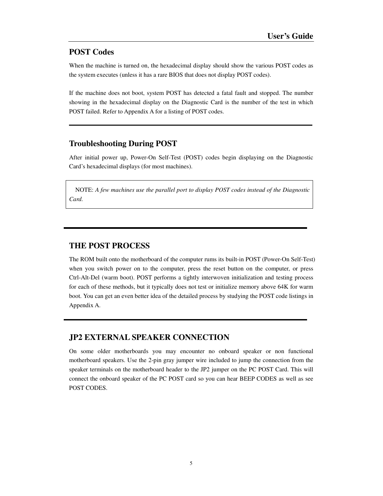### **POST Codes**

When the machine is turned on, the hexadecimal display should show the various POST codes as the system executes (unless it has a rare BIOS that does not display POST codes).

If the machine does not boot, system POST has detected a fatal fault and stopped. The number showing in the hexadecimal display on the Diagnostic Card is the number of the test in which POST failed. Refer to Appendix A for a listing of POST codes.

#### **Troubleshooting During POST**

After initial power up, Power-On Self-Test (POST) codes begin displaying on the Diagnostic Card's hexadecimal displays (for most machines).

NOTE: *A few machines use the parallel port to display POST codes instead of the Diagnostic Card.*

#### **THE POST PROCESS**

The ROM built onto the motherboard of the computer rums its built-in POST (Power-On Self-Test) when you switch power on to the computer, press the reset button on the computer, or press Ctrl-Alt-Del (warm boot). POST performs a tightly interwoven initialization and testing process for each of these methods, but it typically does not test or initialize memory above 64K for warm boot. You can get an even better idea of the detailed process by studying the POST code listings in Appendix A.

#### **JP2 EXTERNAL SPEAKER CONNECTION**

On some older motherboards you may encounter no onboard speaker or non functional motherboard speakers. Use the 2-pin gray jumper wire included to jump the connection from the speaker terminals on the motherboard header to the JP2 jumper on the PC POST Card. This will connect the onboard speaker of the PC POST card so you can hear BEEP CODES as well as see POST CODES.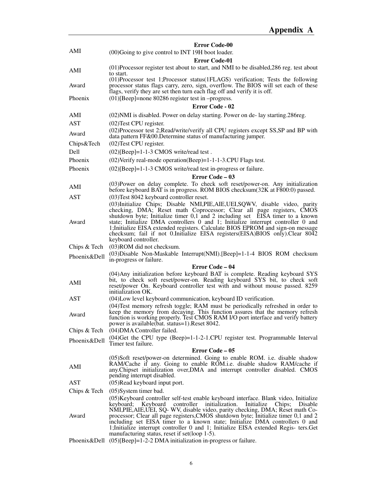|              | <b>Error Code-00</b>                                                                                                                                                                                                                                                                                                                                                                                                                                                                                                                                                                |
|--------------|-------------------------------------------------------------------------------------------------------------------------------------------------------------------------------------------------------------------------------------------------------------------------------------------------------------------------------------------------------------------------------------------------------------------------------------------------------------------------------------------------------------------------------------------------------------------------------------|
| AMI          | (00) Going to give control to INT 19H boot loader.                                                                                                                                                                                                                                                                                                                                                                                                                                                                                                                                  |
|              | <b>Error Code-01</b>                                                                                                                                                                                                                                                                                                                                                                                                                                                                                                                                                                |
| AMI          | (01) Processor register test about to start, and NMI to be disabled, 286 reg. test about<br>to start.                                                                                                                                                                                                                                                                                                                                                                                                                                                                               |
| Award        | (01) Processor test 1; Processor status (1FLAGS) verification; Tests the following<br>processor status flags carry, zero, sign, overflow. The BIOS will set each of these<br>flags, verify they are set then turn each flag off and verify it is off.                                                                                                                                                                                                                                                                                                                               |
| Phoenix      | $(01)$ [Beep]=none 80286 register test in -progress.                                                                                                                                                                                                                                                                                                                                                                                                                                                                                                                                |
|              | Error Code - 02                                                                                                                                                                                                                                                                                                                                                                                                                                                                                                                                                                     |
| AMI          | (02) NMI is disabled. Power on delay starting. Power on de-lay starting. 286 reg.                                                                                                                                                                                                                                                                                                                                                                                                                                                                                                   |
| <b>AST</b>   | $(02)$ Test CPU register.                                                                                                                                                                                                                                                                                                                                                                                                                                                                                                                                                           |
| Award        | (02) Processor test 2; Read/write/verify all CPU registers except SS, SP and BP with<br>data pattern FF&00. Determine status of manufacturing jumper.                                                                                                                                                                                                                                                                                                                                                                                                                               |
| Chips&Tech   | (02) Test CPU register.                                                                                                                                                                                                                                                                                                                                                                                                                                                                                                                                                             |
| Dell         | $(02)$ [Beep]=1-1-3 CMOS write/read test.                                                                                                                                                                                                                                                                                                                                                                                                                                                                                                                                           |
| Phoenix      | (02) Verify real-mode operation (Beep) = 1-1-1-3. CPU Flags test.                                                                                                                                                                                                                                                                                                                                                                                                                                                                                                                   |
| Phoenix      | $(02)$ [Beep]=1-1-3 CMOS write/read test in-progress or failure.                                                                                                                                                                                                                                                                                                                                                                                                                                                                                                                    |
|              | Error Code - 03                                                                                                                                                                                                                                                                                                                                                                                                                                                                                                                                                                     |
| AMI          | (03) Power on delay complete. To check soft reset/power-on. Any initialization<br>before keyboard BAT is in progress. ROM BIOS checksum(32K at F800:0) passed.                                                                                                                                                                                                                                                                                                                                                                                                                      |
| <b>AST</b>   | (03) Test 8042 keyboard controller reset.                                                                                                                                                                                                                                                                                                                                                                                                                                                                                                                                           |
| Award        | (03) Initialize Chips; Disable NMI, PIE, AIE, UEI, SQWV, disable video, parity<br>checking, DMA; Reset math Coprocessor; Clear all page registers, CMOS<br>shutdown byte; Initialize timer 0,1 and 2 including set EISA timer to a known<br>state; Initialize DMA controllers 0 and 1; Initialize interrupt controller 0 and<br>1; Initialize EISA extended registers. Calculate BIOS EPROM and sign-on message<br>checksum; fail if not 0.Initialize EISA registers (EISA) BIOS only). Clear 8042                                                                                  |
|              | keyboard controller.                                                                                                                                                                                                                                                                                                                                                                                                                                                                                                                                                                |
| Chips & Tech | (03) ROM did not checksum.<br>(03) Disable Non-Maskable Interrupt (NMI). [Beep] = 1-1-4 BIOS ROM checksum                                                                                                                                                                                                                                                                                                                                                                                                                                                                           |
| Phoenix&Dell | in-progress or failure.                                                                                                                                                                                                                                                                                                                                                                                                                                                                                                                                                             |
|              | Error Code – 04                                                                                                                                                                                                                                                                                                                                                                                                                                                                                                                                                                     |
| AMI          | (04) Any initialization before keyboard BAT is complete. Reading keyboard SYS<br>bit, to check soft reset/power-on. Reading keyboard SYS bit, to check soft<br>reset/power On. Keyboard controller test with and without mouse passed. 8259<br>initialization OK.                                                                                                                                                                                                                                                                                                                   |
| <b>AST</b>   | (04) Low level keyboard communication, keyboard ID verification.                                                                                                                                                                                                                                                                                                                                                                                                                                                                                                                    |
| Award        | (04) Test memory refresh toggle; RAM must be periodically refreshed in order to<br>keep the memory from decaying. This function assures that the memory refresh<br>function is working properly. Test CMOS RAM I/O port interface and verify battery<br>power is available(bat. status=1).Reset 8042.                                                                                                                                                                                                                                                                               |
| Chips & Tech | (04) DMA Controller failed.                                                                                                                                                                                                                                                                                                                                                                                                                                                                                                                                                         |
| Phoenix&Dell | $(04)$ Get the CPU type $(Beep)=1-1-2-1$ .CPU register test. Programmable Interval<br>Timer test failure.                                                                                                                                                                                                                                                                                                                                                                                                                                                                           |
|              | Error Code – 05                                                                                                                                                                                                                                                                                                                                                                                                                                                                                                                                                                     |
|              | (05)Soft reset/power-on determined. Going to enable ROM. i.e. disable shadow                                                                                                                                                                                                                                                                                                                                                                                                                                                                                                        |
| AMI          | RAM/Cache if any. Going to enable ROM.i.e. disable shadow RAM/cache if<br>any. Chipset initialization over, DMA and interrupt controller disabled. CMOS<br>pending interrupt disabled.                                                                                                                                                                                                                                                                                                                                                                                              |
| AST          | (05) Read keyboard input port.                                                                                                                                                                                                                                                                                                                                                                                                                                                                                                                                                      |
| Chips & Tech | $(05)$ System timer bad.                                                                                                                                                                                                                                                                                                                                                                                                                                                                                                                                                            |
| Award        | (05) Keyboard controller self-test enable keyboard interface. Blank video, Initialize<br>keyboard; Keyboard<br>controller initialization.<br>Initialize<br>Chips;<br>Disable<br>NMI, PIE, AIE, UEI, SQ- WV, disable video, parity checking, DMA; Reset math Co-<br>processor; Clear all page registers, CMOS shutdown byte; Initialize timer 0,1 and 2<br>including set EISA timer to a known state; Initialize DMA controllers 0 and<br>1; Initialize interrupt controller 0 and 1; Initialize EISA extended Regis- ters. Get<br>manufacturing status, reset if set (loop $1-5$ ). |
|              | Phoenix&Dell $(05)$ [Beep]=1-2-2 DMA initialization in-progress or failure.                                                                                                                                                                                                                                                                                                                                                                                                                                                                                                         |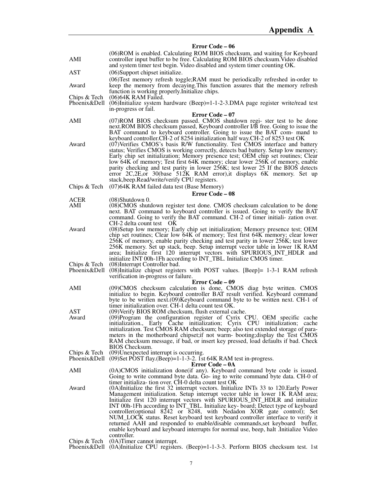#### **Error Code – 06**

|                              | $E[10]$ Coue – $00$                                                                                                                                                                                                                                                                                                                                                                                                                                                                                                                                                                                                                                                                                                                                  |
|------------------------------|------------------------------------------------------------------------------------------------------------------------------------------------------------------------------------------------------------------------------------------------------------------------------------------------------------------------------------------------------------------------------------------------------------------------------------------------------------------------------------------------------------------------------------------------------------------------------------------------------------------------------------------------------------------------------------------------------------------------------------------------------|
| AMI                          | (06) ROM is enabled. Calculating ROM BIOS checksum, and waiting for Keyboard<br>controller input buffer to be free. Calculating ROM BIOS checksum. Video disabled<br>and system timer test begin. Video disabled and system timer counting OK.                                                                                                                                                                                                                                                                                                                                                                                                                                                                                                       |
| AST                          | (06) Support chipset initialize.                                                                                                                                                                                                                                                                                                                                                                                                                                                                                                                                                                                                                                                                                                                     |
| Award                        | (06) Test memory refresh toggle; RAM must be periodically refreshed in-order to<br>keep the memory from decaying. This function assures that the memory refresh                                                                                                                                                                                                                                                                                                                                                                                                                                                                                                                                                                                      |
| Chips & Tech                 | function is working properly. Initialize chips.<br>$(06)$ 64K RAM Failed.                                                                                                                                                                                                                                                                                                                                                                                                                                                                                                                                                                                                                                                                            |
| Phoenix&Dell                 | $(06)$ Initialize system hardware $(Beep)=1-1-2-3$ . DMA page register write/read test<br>in-progress or fail.                                                                                                                                                                                                                                                                                                                                                                                                                                                                                                                                                                                                                                       |
|                              | Error Code – 07                                                                                                                                                                                                                                                                                                                                                                                                                                                                                                                                                                                                                                                                                                                                      |
| AMI                          | (07) ROM BIOS checksum passed. CMOS shutdown regi- ster test to be done<br>next.ROM BIOS checksum passed, Keyboard controller I/B free. Going to issue the<br>BAT command to keyboard controller. Going to issue the BAT com- mand to<br>keyboard controller.CH-2 of 8254 initialization half way.CH-2 of 8253 test OK                                                                                                                                                                                                                                                                                                                                                                                                                               |
| Award                        | (07) Verifies CMOS's basis R/W functionality. Test CMOS interface and battery<br>status; Verifies CMOS is working correctly, detects bad battery. Setup low memory;<br>Early chip set initialization; Memory presence test; OEM chip set routines; Clear<br>low 64K of memory; Test first 64K memory; clear lower 256K of memory, enable<br>parity checking and test parity in lower 256K; test lower 25 If the BIOS detects<br>error $2C,2E,$ or $30(base)$ 512K RAM error), it displays 6K memory. Set up<br>stack, beep. Read/write/verify CPU registers.                                                                                                                                                                                         |
| Chips & Tech                 | (07)64K RAM failed data test (Base Memory)                                                                                                                                                                                                                                                                                                                                                                                                                                                                                                                                                                                                                                                                                                           |
|                              | <b>Error Code – 08</b>                                                                                                                                                                                                                                                                                                                                                                                                                                                                                                                                                                                                                                                                                                                               |
| ACER<br>AMI                  | $(08)$ Shutdown 0.<br>(08)CMOS shutdown register test done. CMOS checksum calculation to be done<br>next. BAT command to keyboard controller is issued. Going to verify the BAT<br>command. Going to verify the BAT command. CH-2 of timer initiali- zation over.<br>CH-2 delta count test OK                                                                                                                                                                                                                                                                                                                                                                                                                                                        |
| Award                        | (08) Setup low memory; Early chip set initialization; Memory presence test; OEM<br>chip set routines; Clear low 64K of memory; Test first 64K memory; clear lower<br>256K of memory, enable parity checking and test parity in lower 256K; test lower<br>256K memory. Set up stack, beep. Setup interrupt vector table in lower 1K RAM<br>area; Initialize first 120 interrupt vectors with SPURIOUS_INT_HDLR and<br>initialize INT 00h-1Fh according to INT_TBL. Initialize CMOS timer.                                                                                                                                                                                                                                                             |
| Chips & Tech<br>Phoenix&Dell | (08) Interrupt Controller bad.<br>(08) Initialize chipset registers with POST values. [Beep] = 1-3-1 RAM refresh<br>verification in-progress or failure.                                                                                                                                                                                                                                                                                                                                                                                                                                                                                                                                                                                             |
|                              | Error Code – 09                                                                                                                                                                                                                                                                                                                                                                                                                                                                                                                                                                                                                                                                                                                                      |
| AMI                          | (09)CMOS checksum calculation is done, CMOS diag byte written. CMOS<br>initialize to begin. Keyboard controller BAT result verified. Keyboard command<br>byte to be written next. (09) Keyboard command byte to be written next. CH-1 of<br>timer initialization over. CH-1 delta count test OK.                                                                                                                                                                                                                                                                                                                                                                                                                                                     |
| AST                          | (09) Verify BIOS ROM checksum, flush external cache.                                                                                                                                                                                                                                                                                                                                                                                                                                                                                                                                                                                                                                                                                                 |
| Award                        | (09)Program the configuration register of Cyrix CPU. OEM specific cache<br>initialization., Early Cache initialization; Cyrix CPU initialization; cache<br>initialization. Test CMOS RAM checksum; beep; also test extended storage of para-<br>meters in the motherboard chipset; if not warm-booting; display the Test CMOS<br>RAM checksum message, if bad, or insert key pressed, load defaults if bad. Check<br><b>BIOS</b> Checksum.                                                                                                                                                                                                                                                                                                           |
| Chips & Tech<br>Phoenix&Dell | (09) Unexpected interrupt is occurring.<br>$(09)$ Set POST flay. $(Beep) = 1-1-3-2$ . Ist 64K RAM test in-progress.<br>Error Code – 0A                                                                                                                                                                                                                                                                                                                                                                                                                                                                                                                                                                                                               |
| AMI                          | (0A)CMOS initialization done(if any). Keyboard command byte code is issued.<br>Going to write command byte data. Go- ing to write command byte data. CH-0 of                                                                                                                                                                                                                                                                                                                                                                                                                                                                                                                                                                                         |
| Award                        | timer initializa-tion over. CH-0 delta count test OK<br>(0A)Initialize the first 32 interrupt vectors. Initialize INTs 33 to 120. Early Power<br>Management initialization. Setup interrupt vector table in lower 1K RAM area;<br>Initialize first 120 interrupt vectors with SPURIOUS_INT_HDLR and initialize<br>INT 00h-1Fh according to INT_TBL. Initialize key-board; Detect type of keyboard<br>controller (optional 8242 or 8248, with Nedadon XOR gate control); Set<br>NUM_LOCK status. Reset keyboard test keyboard controller interface to verify it<br>returned AAH and responded to enable/disable commands, set keyboard buffer,<br>enable keyboard and keyboard interrupts for normal use, beep, halt .Initialize Video<br>controller. |
| Chips & Tech<br>Phoenix&Dell | (0A)Timer cannot interrupt.<br>$(0A)$ Initialize CPU registers. $(Beep)=1-1-3-3$ . Perform BIOS checksum test. 1st                                                                                                                                                                                                                                                                                                                                                                                                                                                                                                                                                                                                                                   |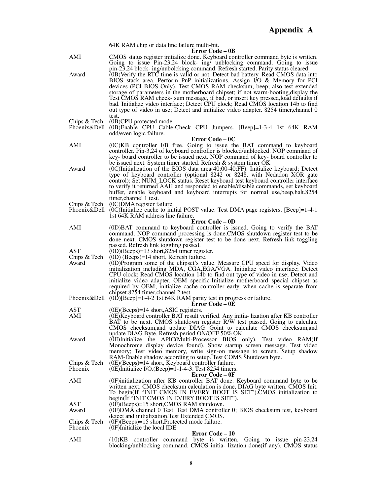|                              | 64K RAM chip or data line failure multi-bit.                                                                                                                                                                                                                                                                                                                                                                                                                                                                                                                                                                                                                                                    |
|------------------------------|-------------------------------------------------------------------------------------------------------------------------------------------------------------------------------------------------------------------------------------------------------------------------------------------------------------------------------------------------------------------------------------------------------------------------------------------------------------------------------------------------------------------------------------------------------------------------------------------------------------------------------------------------------------------------------------------------|
| AMI                          | <b>Error Code – 0B</b><br>CMOS status register initialize done. Keyboard controller command byte is written.<br>Going to issue $Pin-23,24$ block- ing/ unblocking command. Going to issue                                                                                                                                                                                                                                                                                                                                                                                                                                                                                                       |
| Award                        | pin-23,24 block- ing/nubolcking command. Refresh started. Parity status cleared<br>(0B) Verify the RTC time is valid or not. Detect bad battery. Read CMOS data into<br>BIOS stack area. Perform PnP initializations. Assign I/O & Memory for PCI<br>devices (PCI BIOS Only). Test CMOS RAM checksum; beep; also test extended<br>storage of parameters in the motherboard chipset; if not warm-booting, display the<br>Test CMOS RAM check- sum message, if bad, or insert key pressed, load defaults if<br>bad. Initialize video interface; Detect CPU clock; Read CMOS location 14b to find<br>out type of video in use; Detect and initialize video adapter. 8254 timer, channel 0<br>test. |
| Chips & Tech<br>Phoenix&Dell | (0B)CPU protected mode.<br>(0B)Enable CPU Cable-Check CPU Jumpers. [Beep]=1-3-4 1st 64K RAM<br>odd/even logic failure.                                                                                                                                                                                                                                                                                                                                                                                                                                                                                                                                                                          |
|                              | Error Code – 0C                                                                                                                                                                                                                                                                                                                                                                                                                                                                                                                                                                                                                                                                                 |
| AMI                          | (0C)KB controller I/B free. Going to issue the BAT command to keyboard<br>controller. Pin-3,24 of keyboard controller is blocked/unblocked. NOP command of<br>key- board controller to be issued next. NOP command of key- board controller to<br>be issued next. System timer started. Refresh & system timer OK                                                                                                                                                                                                                                                                                                                                                                               |
| Award                        | $(0)$ Initialization of the BIOS data area $(40:00-40:FF)$ . Initialize keyboard; Detect<br>type of keyboard controller (optional 8242 or 8248, with Nedadon XOR gate<br>control); Set NUM_LOCK status. Reset keyboard test keyboard controller interface<br>to verify it returned AAH and responded to enable/disable commands, set keyboard<br>buffer, enable keyboard and keyboard interrupts for normal use, beep, halt. 8254<br>timer.channel 1 test.                                                                                                                                                                                                                                      |
| Chips & Tech<br>Phoenix&Dell | (0C) DMA register failure.<br>$(0)$ Initialize cache to initial POST value. Test DMA page registers. [Beep]=1-4-1<br>1st 64K RAM address line failure.                                                                                                                                                                                                                                                                                                                                                                                                                                                                                                                                          |
|                              | Error Code – 0D                                                                                                                                                                                                                                                                                                                                                                                                                                                                                                                                                                                                                                                                                 |
| AMI                          | (0D)BAT command to keyboard controller is issued. Going to verify the BAT<br>command. NOP command processing is done.CMOS shutdown register test to be<br>done next. CMOS shutdown register test to be done next. Refresh link toggling<br>passed. Refresh link toggling passed.                                                                                                                                                                                                                                                                                                                                                                                                                |
| AST                          | $(0D)(Beeps) = 13$ short, 8254 timer register.                                                                                                                                                                                                                                                                                                                                                                                                                                                                                                                                                                                                                                                  |
| Chips & Tech<br>Award        | $(0D)$ (Beeps)=14 short, Refresh failure.<br>(0D)Program some of the chipset's value. Measure CPU speed for display. Video<br>initialization including MDA, CGA, EGA/VGA. Initialize video interface; Detect<br>CPU clock; Read CMOS location 14b to find out type of video in use; Detect and<br>initialize video adapter. OEM specific-Initialize motherboard special chipset as<br>required by OEM; initialize cache controller early, when cache is separate from<br>chipset.8254 timer, channel 2 test.                                                                                                                                                                                    |
|                              | Phoenix & Dell $(0\bar{D})$ [Beep]=1-4-2 1st 64K RAM parity test in progress or failure.<br>Error Code – 0E                                                                                                                                                                                                                                                                                                                                                                                                                                                                                                                                                                                     |
| AST<br>AMI                   | $(0E)$ (Beeps)=14 short, ASIC registers.<br>(0E) Keyboard controller BAT result verified. Any initia- lization after KB controller<br>BAT to be next. CMOS shutdown register R/W test passed. Going to calculate<br>CMOS checksum, and update DIAG. Goint to calculate CMOS checksum, and                                                                                                                                                                                                                                                                                                                                                                                                       |
| Award                        | update DIAG Byte. Refresh period ON/OFF 50% OK<br>(0E)Initialize the APIC(Multi-Processor BIOS only). Test video RAM(If<br>Monochrome display device found). Show startup screen message. Test video<br>memory; Test video memory, write sign-on message to screen. Setup shadow<br>RAM-Enable shadow according to setup. Test COMS Shutdown byte.                                                                                                                                                                                                                                                                                                                                              |
| Chips & Tech<br>Phoenix      | (0E)(Beeps)=14 short, Keyboard controller failure.<br>(0E)Initialize I/O.(Beep)=1-1-4-3. Test 8254 timers.<br><b>Error Code – 0F</b>                                                                                                                                                                                                                                                                                                                                                                                                                                                                                                                                                            |
| AMI                          | (0F) initialization after KB controller BAT done. Keyboard command byte to be<br>written next. CMOS checksum calculation is done, DIAG byte written. CMOS Init.<br>To begin(If "INIT CMOS IN EVERY BOOT IS SET").CMOS initialization to<br>begin(If "INIT CMOS IN EVERY BOOT IS SET").                                                                                                                                                                                                                                                                                                                                                                                                          |
| AST<br>Award                 | $(0)$ (Beeps)=15 short, CMOS RAM shutdown.<br>(0F)DMA channel 0 Test. Test DMA controller 0; BIOS checksum test, keyboard                                                                                                                                                                                                                                                                                                                                                                                                                                                                                                                                                                       |
| Chips & Tech<br>Phoenix      | detect and initialization. Test Extended CMOS.<br>$(0)$ (Beeps)=15 short, Protected mode failure.<br>(0F)Initialize the local IDE                                                                                                                                                                                                                                                                                                                                                                                                                                                                                                                                                               |
|                              | Error Code – 10                                                                                                                                                                                                                                                                                                                                                                                                                                                                                                                                                                                                                                                                                 |
| AMI                          | $(10)KB$ controller command byte is written. Going to issue pin-23,24<br>blocking/unblocking command. CMOS initia- lization done(if any). CMOS status                                                                                                                                                                                                                                                                                                                                                                                                                                                                                                                                           |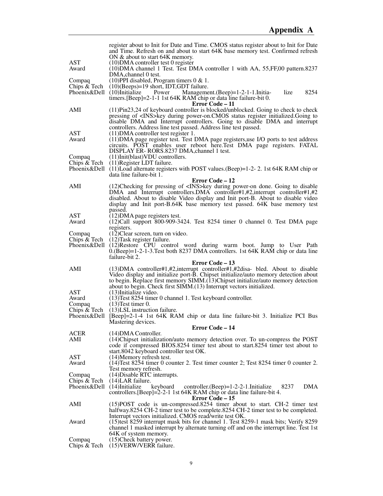|                              | register about to Init for Date and Time. CMOS status register about to Init for Date                                                                              |
|------------------------------|--------------------------------------------------------------------------------------------------------------------------------------------------------------------|
|                              | and Time. Refresh on and about to start 64K base memory test. Confirmed refresh                                                                                    |
| AST                          | ON & about to start 64K memory.<br>$(10)$ DMA controller test 0 register                                                                                           |
| Award                        | (10) DMA channel 1 Test. Test DMA controller 1 with AA, 55, FF, 00 pattern. 8237                                                                                   |
|                              | DMA, channel 0 test.                                                                                                                                               |
| Compaq<br>Chips & Tech       | $(10)$ PPI disabled, Program timers 0 & 1.<br>$(10)$ (Beeps)=19 short, IDT,GDT failure.                                                                            |
| Phoenix&Dell (10)Initialize  | Management.(Beep)=1-2-1-1.Initia-<br>lize<br>8254<br>Power                                                                                                         |
|                              | timers. [Beep]=2-1-1 1st 64K RAM chip or data line failure-bit 0.<br>Error Code – 11                                                                               |
| AMI                          | $(11)Pin23,24$ of keyboard controller is blocked/unblocked. Going to check to check                                                                                |
|                              | pressing of <ins>key during power-on.CMOS status register initialized.Going to<br/>disable DMA and Interrupt controllers. Going to disable DMA and interrupt</ins> |
|                              | controllers. Address line test passed. Address line test passed.                                                                                                   |
| AST<br>Award                 | $(11)$ DMA controller test register 1.<br>(11) DMA page register test. Test DMA page registers, use I/O ports to test address                                      |
|                              | circuits. POST enables user reboot here. Test DMA page registers. FATAL                                                                                            |
| Compaq                       | DISPLAY ER-RORS.8237 DMA, channel 1 test.<br>(11)Init(blast)VDU controllers.                                                                                       |
| Chips & Tech                 | (11) Register LDT failure.                                                                                                                                         |
|                              | Phoenix&Dell (11)Load alternate registers with POST values.(Beep)=1-2-2. 1st 64K RAM chip or                                                                       |
|                              | data line failure-bit 1.<br>Error Code - 12                                                                                                                        |
| AMI                          | (12) Checking for pressing of <ins>key during power-on done. Going to disable</ins>                                                                                |
|                              | DMA and Interrupt controllers.DMA controller#1,#2,interrupt controller#1,#2<br>disabled. About to disable Video display and Init port-B. About to disable video    |
|                              | display and Init port-B.64K base memory test passed. 64K base memory test                                                                                          |
| <b>AST</b>                   | passed.<br>(12) DMA page registers test.                                                                                                                           |
| Award                        | $(12)$ Call support 800-909-3424. Test 8254 timer 0 channel 0. Test DMA page                                                                                       |
| Compaq                       | registers.<br>(12) Clear screen, turn on video.                                                                                                                    |
| Chips & Tech                 | $(12)$ Task register failure.                                                                                                                                      |
|                              | Phoenix&Dell (12)Restore CPU control word during warm boot. Jump to User Path<br>0. (Beep)=1-2-1-3. Test both 8237 DMA controllers. 1st 64K RAM chip or data line  |
|                              | failure-bit 2.                                                                                                                                                     |
| AMI                          | Error Code – 13<br>$(13)$ DMA controller#1,#2, interrupt controller#1,#2disa- bled. About to disable                                                               |
|                              | Video display and initialize port-B. Chipset initialize/auto memory detection about                                                                                |
|                              | to begin. Replace first memory SIMM.(13)Chipset initialize/auto memory detection                                                                                   |
| AST                          | about to begin. Check first SIMM.(13) Interrupt vectors initialized.<br>(13) Initialize video.                                                                     |
| Award                        | (13) Test 8254 timer 0 channel 1. Test keyboard controller.                                                                                                        |
| Compaq                       | $(13)$ Test timer 0.<br>Chips $& \text{Techn (13)LSL instruction failure.}$                                                                                        |
|                              | Phoenix&Dell [Beep]=2-1-4 1st 64K RAM chip or data line failure-bit 3. Initialize PCI Bus                                                                          |
|                              | Mastering devices.<br>Error Code – 14                                                                                                                              |
| ACER                         | $(14)$ DMA Controller.                                                                                                                                             |
| AMI                          | (14) Chipset initialization/auto memory detection over. To un-compress the POST<br>code if compressed BIOS.8254 timer test about to start.8254 timer test about to |
|                              | start.8042 keyboard controller test OK.                                                                                                                            |
| AST                          | (14) Memory refresh test.                                                                                                                                          |
| Award                        | (14) Test 8254 timer 0 counter 2. Test timer counter 2; Test 8254 timer 0 counter 2.<br>Test memory refresh.                                                       |
| Compaq                       | (14) Disable RTC interrupts.                                                                                                                                       |
| Chips & Tech<br>Phoenix&Dell | $(14)$ LAR failure.<br><b>DMA</b><br>$(14)$ Initialize<br>keyboard<br>controller. $(Beep)=1-2-2-1$ . Initialize<br>8237                                            |
|                              | controllers. [Beep]=2-2-1 1st 64K RAM chip or data line failure-bit 4.                                                                                             |
| AMI                          | Error Code – 15<br>(15) POST code is un-compressed. 8254 timer about to start. CH-2 timer test                                                                     |
|                              | halfway.8254 CH-2 timer test to be complete.8254 CH-2 timer test to be completed.                                                                                  |
| Award                        | Interrupt vectors initialized. CMOS read/write test OK.<br>(15) test 8259 interrupt mask bits for channel 1. Test 8259-1 mask bits; Verify 8259                    |
|                              | channel 1 masked interrupt by alternate turning off and on the interrupt line. Test 1st                                                                            |
| Compaq                       | 64K of system memory.<br>(15) Check battery power.                                                                                                                 |
| Chips $&$ Tech               | (15) VERW/VERR failure.                                                                                                                                            |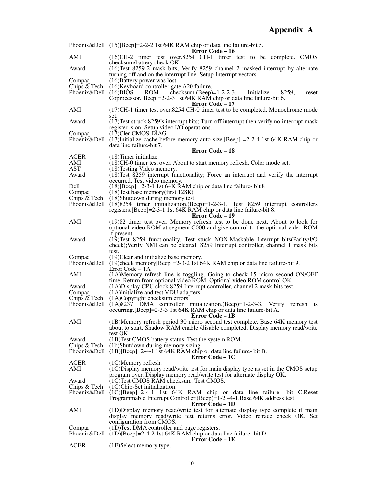|                                                      | Phoenix&Dell (15)[Beep]=2-2-2 1st 64K RAM chip or data line failure-bit 5.                                                                                                                                       |
|------------------------------------------------------|------------------------------------------------------------------------------------------------------------------------------------------------------------------------------------------------------------------|
| AMI                                                  | Error Code – 16<br>(16)CH-2 timer test over 8254 CH-1 timer test to be complete. CMOS<br>checksum/battery check OK                                                                                               |
| Award                                                | (16) Test 8259-2 mask bits; Verify 8259 channel 2 masked interrupt by alternate<br>turning off and on the interrupt line. Setup Interrupt vectors.                                                               |
| Compaq<br>Chips & Tech<br>Phoenix & Dell $(16)$ BIOS | $(16)$ Battery power was lost.<br>(16) Keyboard controller gate A20 failure.<br>checksum.(Beep)= $1-2-2-3$ .<br><b>ROM</b><br>Initialize<br>8259,<br>reset                                                       |
|                                                      | Coprocessor. [Beep]=2-2-3 1st 64K RAM chip or data line failure-bit 6.<br>Error Code - 17                                                                                                                        |
| AMI                                                  | (17) CH-1 timer test over 8254 CH-0 timer test to be completed. Monochrome mode<br>set.                                                                                                                          |
| Award                                                | (17) Test struck 8259's interrupt bits; Turn off interrupt then verify no interrupt mask<br>register is on. Setup video I/O operations.                                                                          |
| Compaq                                               | $(17)$ Cler CMOS-DIAG<br>Phoenix&Dell (17)Initialize cache before memory auto-size.[Beep] = 2-2-4 1st 64K RAM chip or<br>data line failure-bit 7.                                                                |
|                                                      | <b>Error Code – 18</b>                                                                                                                                                                                           |
| ACER<br>AMI                                          | $(18)$ Timer initialize.<br>(18)CH-0 timer test over. About to start memory refresh. Color mode set.                                                                                                             |
| AST                                                  | (18) Testing Video memory.                                                                                                                                                                                       |
| Award                                                | $(18)$ Test 8259 interrupt functionality; Force an interrupt and verify the interrupt<br>occurred. Test video memory.                                                                                            |
| Dell<br>Compaq                                       | $(18)$ [Beep]= 2-3-1 1st 64K RAM chip or data line failure- bit 8<br>$(18)$ Test base memory(first 128K)                                                                                                         |
|                                                      | Chips $\&$ Tech (18)Shutdown during memory test.<br>Phoenix&Dell $(18)8254$ timer initialization. (Beep)=1-2-3-1. Test 8259 interrupt controllers                                                                |
|                                                      | registers. [Beep]=2-3-1 1st 64K RAM chip or data line failure-bit 8.<br>Error Code – 19                                                                                                                          |
| AMI                                                  | (19)82 timer test over. Memory refresh test to be done next. About to look for<br>optional video ROM at segment C000 and give control to the optional video ROM<br>if present.                                   |
| Award                                                | (19) Test 8259 functionality. Test stuck NON-Maskable Interrupt bits (Parity/I/O<br>check); Verify NMI can be cleared. 8259 Interrupt controller, channel 1 mask bits<br>test.                                   |
| Compaq                                               | (19) Clear and initialize base memory.<br>Phoenix&Dell (19)check memory[Beep]=2-3-2 1st 64K RAM chip or data line failure-bit 9.<br>Error Code - 1A                                                              |
| AMI                                                  | (1A)Memory refresh line is toggling. Going to check 15 micro second ON/OFF<br>time. Return from optional video ROM. Optional video ROM control OK                                                                |
| Award<br>Compaq                                      | (1A) Display CPU clock.8259 Interrupt controller, channel 2 mask bits test.<br>(1A)Initialize and test VDU adapters.                                                                                             |
| Chips & Tech                                         | $(1A)$ Copyright checksum errors.                                                                                                                                                                                |
|                                                      | Phoenix&Dell (1A)8237 DMA controller initialization.(Beep)=1-2-3-3. Verify refresh is<br>occurring. [Beep]=2-3-3 1st 64K RAM chip or data line failure-bit A.<br>Error Code - 1B                                 |
| AMI                                                  | (1B)Memory refresh period 30 micro second test complete. Base 64K memory test<br>about to start. Shadow RAM enable /disable completed. Display memory read/write<br>test OK.                                     |
| Award                                                | (1B) Test CMOS battery status. Test the system ROM.                                                                                                                                                              |
| Chips & Tech                                         | (1b)Shutdown during memory sizing.<br>Phoenix&Dell $(1B)$ [Beep]=2-4-1 1st 64K RAM chip or data line failure- bit B.<br>Error Code – 1C                                                                          |
| <b>ACER</b>                                          | $(1C)$ Memory refresh.                                                                                                                                                                                           |
| AMI<br>Award                                         | $(1C)$ Display memory read/write test for main display type as set in the CMOS setup<br>program over. Display memory read/write test for alternate display OK.<br>(1C) Test CMOS RAM checksum. Test CMOS.        |
| Chips & Tech                                         | (1C)Chip-Set initialization.<br>Phoenix&Dell (1C)[Beep]=2-4-1 1st 64K RAM chip or data line failure- bit C.Reset<br>Programmable Interrupt Controller. (Beep)=1-2-4-1. Base 64K address test.<br>Error Code – 1D |
| AMI                                                  | (1D) Display memory read/write test for alternate display type complete if main<br>display memory read/write test returns error. Video retrace check OK. Set                                                     |
| Compaq                                               | configuration from CMOS.<br>(1D)Test DMA controller and page registers.<br>Phoenix&Dell (1D)[Beep]=2-4-2 1st 64K RAM chip or data line failure- bit D                                                            |
| <b>ACER</b>                                          | Error Code – 1E<br>(1E)Select memory type.                                                                                                                                                                       |
|                                                      |                                                                                                                                                                                                                  |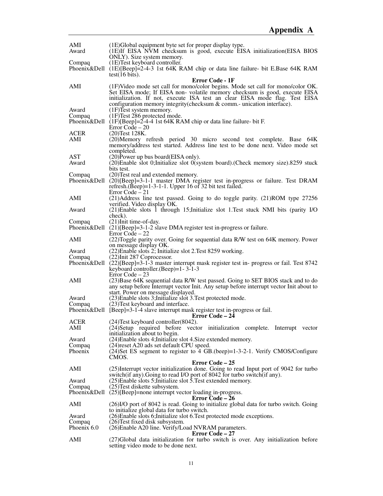| AMI<br>Award                   | (1E)Global equipment byte set for proper display type.<br>(1E) If EISA NVM checksum is good, execute EISA initialization (EISA BIOS<br>ONLY). Size system memory.                                                                                                                                                      |
|--------------------------------|------------------------------------------------------------------------------------------------------------------------------------------------------------------------------------------------------------------------------------------------------------------------------------------------------------------------|
| Compaq                         | (1E)Test keyboard controller.<br>Phoenix&Dell (1E)[Beep]=2-4-3 1st 64K RAM chip or data line failure- bit E.Base 64K RAM                                                                                                                                                                                               |
|                                | test(16 bits).<br>Error Code - 1F                                                                                                                                                                                                                                                                                      |
| AMI                            | (1F)Video mode set call for mono/color begins. Mode set call for mono/color OK.<br>Set EISA mode; If EISA non-volatile memory checksum is good, execute EISA<br>initialization. If not, execute ISA test an clear EISA mode flag. Test EISA<br>configuration memory integrity (checksum & comm.- unication interface). |
| Award<br>Compaq                | $(1)$ Test system memory.<br>(1F) Test 286 protected mode.<br>Phoenix&Dell $(1F)[Beep]=2-4-4$ 1st 64K RAM chip or data line failure- bit F.                                                                                                                                                                            |
| <b>ACER</b><br>AMI             | Error Code $-20$<br>$(20)$ Test 128K.<br>(20) Memory refresh period 30 micro second test complete. Base 64K<br>memory/address test started. Address line test to be done next. Video mode set                                                                                                                          |
| AST<br>Award                   | completed.<br>(20) Power up bus board (EISA only).<br>(20) Enable slot 0; Initialize slot 0(system board). (Check memory size). 8259 stuck                                                                                                                                                                             |
| Compaq                         | bits test.<br>(20) Test real and extended memory.<br>Phoenix&Dell (20)[Beep]=3-1-1 master DMA register test in-progress or failure. Test DRAM<br>refresh. (Beep)= $1-3-1-1$ . Upper 16 of 32 bit test failed.                                                                                                          |
| AMI                            | $Error Code - 21$<br>(21)Address line test passed. Going to do toggle parity. (21)ROM type 27256<br>verified. Video display OK.                                                                                                                                                                                        |
| Award                          | (21) Enable slots 1 through 15; Initialize slot 1. Test stuck NMI bits (parity I/O<br>check).                                                                                                                                                                                                                          |
| Compaq                         | (21) Init time-of-day.<br>Phoenix&Dell $(21)$ [Beep]=3-1-2 slave DMA register test in-progress or failure.<br>Error Code $-22$                                                                                                                                                                                         |
| AMI                            | (22)Toggle parity over. Going for sequential data R/W test on 64K memory. Power<br>on message display OK.                                                                                                                                                                                                              |
| Award<br>Compaq                | (22) Enable slots 2; Initialize slot 2. Test 8259 working.<br>(22) Init 287 Coprocessor.<br>Phoenix&Dell $(22)[Beep]=3-1-3$ master interrupt mask register test in-progress or fail. Test 8742                                                                                                                         |
| AMI                            | keyboard controller. (Beep)=1-3-1-3<br>Error Code $-23$<br>(23) Base 64K sequential data R/W test passed. Going to SET BIOS stack and to do<br>any setup before Interrupt vector Init. Any setup before interrupt vector Init about to                                                                                 |
| Award                          | start. Power on message displayed.<br>(23) Enable slots 3; Initialize slot 3. Test protected mode.                                                                                                                                                                                                                     |
| Compaq                         | (23) Test keyboard and interface.<br>Phoenix&Dell [Beep]=3-1-4 slave interrupt mask register test in-progress or fail.<br><b>Error Code – 24</b>                                                                                                                                                                       |
| ACER<br>AMI                    | (24) Test keyboard controller (8042).<br>(24) Setup required before vector initialization complete. Interrupt vector<br>initialization about to begin.                                                                                                                                                                 |
| Award<br>Compaq                | (24) Enable slots 4; Initialize slot 4. Size extended memory.<br>(24) reset A20 ads set default CPU speed.                                                                                                                                                                                                             |
| Phoenix                        | $(24)$ Set ES segment to register to 4 GB.(beep)=1-3-2-1. Verify CMOS/Configure<br>CMOS.                                                                                                                                                                                                                               |
| AMI                            | <b>Error Code – 25</b><br>(25) Interrupt vector initialization done. Going to read Input port of 9042 for turbo<br>switch (if any). Going to read I/O port of 8042 for turbo switch (if any).                                                                                                                          |
| Award<br>Compaq                | $(25)$ Enable slots 5; Initialize slot 5. Test extended memory.<br>(25) Test diskette subsystem.<br>Phoenix&Dell $(25)$ [Beep]=none interrupt vector loading in-progress.<br><b>Error Code – 26</b>                                                                                                                    |
| AMI                            | (26)I/O port of 8042 is read. Going to initialize global data for turbo switch. Going<br>to initialize global data for turbo switch.                                                                                                                                                                                   |
| Award<br>Compaq<br>Phoenix 6.0 | (26) Enable slots 6; Initialize slot 6. Test protected mode exceptions.<br>(26) Test fixed disk subsystem.<br>(26) Enable A20 line. Verify/Load NVRAM parameters.                                                                                                                                                      |
| AMI                            | <b>Error Code – 27</b><br>(27) Global data initialization for turbo switch is over. Any initialization before<br>setting video mode to be done next.                                                                                                                                                                   |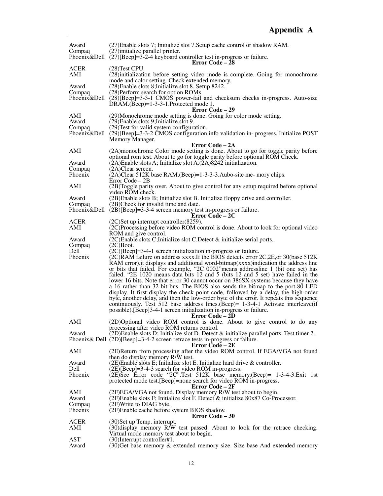| Award          | (27) Enable slots 7; Initialize slot 7. Setup cache control or shadow RAM.                                                                                            |
|----------------|-----------------------------------------------------------------------------------------------------------------------------------------------------------------------|
| Compaq         | (27) initialize parallel printer.<br>Phoenix&Dell $(27)$ [Beep]=3-2-4 keyboard controller test in-progress or failure.                                                |
|                | <b>Error Code – 28</b>                                                                                                                                                |
| <b>ACER</b>    | $(28)$ Test CPU.                                                                                                                                                      |
| AMI            | (28)initialization before setting video mode is complete. Going for monochrome                                                                                        |
|                | mode and color setting . Check extended memory.                                                                                                                       |
| Award          | (28) Enable slots 8; Initialize slot 8. Setup 8242.                                                                                                                   |
| Compaq         | (28) Perform search for option ROMs                                                                                                                                   |
|                | Phoenix&Dell (28)[Beep]=3-3-1 CMOS power-fail and checksum checks in-progress. Auto-size<br>$DRAM.(Beep)=1-3-3-1.Protected mode 1.$                                   |
|                | Error Code – 29                                                                                                                                                       |
| AMI            | (29)Monochrome mode setting is done. Going for color mode setting.                                                                                                    |
| Award          | (29) Enable slots 9; Initialize slot 9.                                                                                                                               |
| Compaq         | (29) Test for valid system configuration.                                                                                                                             |
|                | Phoenix&Dell $(29)$ [Beep]=3-3-2 CMOS configuration info validation in- progress. Initialize POST                                                                     |
|                | Memory Manager.                                                                                                                                                       |
| AMI            | Error Code – 2A<br>(2A) monochrome Color mode setting is done. About to go for toggle parity before                                                                   |
|                | optional rom test. About to go for toggle parity before optional ROM Check.                                                                                           |
| Award          | $(2A)$ Enable slots A; Initialize slot A. $(\overline{2}A)8242$ initialization.                                                                                       |
| Compaq         | $(2A)$ Clear screen.                                                                                                                                                  |
| Phoenix        | (2A)Clear 512K base RAM.(Beep)=1-3-3-3.Aubo-site me- mory chips.                                                                                                      |
|                | Error Code - 2B                                                                                                                                                       |
| AMI            | (2B)Toggle parity over. About to give control for any setup required before optional                                                                                  |
| Award          | video ROM check.<br>(2B) Enable slots B; Initialize slot B. Initialize floppy drive and controller.                                                                   |
| Compaq         | (2B)Check for invalid time and date.                                                                                                                                  |
|                | Phoenix&Dell (2B)[Beep]=3-3-4 screen memory test in-progress or failure.                                                                                              |
|                | Error Code – 2C                                                                                                                                                       |
| <b>ACER</b>    | $(2C)$ Set up interrupt controller $(8259)$ .                                                                                                                         |
| AMI            | (2C)Processing before video ROM control is done. About to look for optional video                                                                                     |
|                | ROM and give control.                                                                                                                                                 |
| Award          | (2C) Enable slots C; Initialize slot C. Detect & initialize serial ports.                                                                                             |
| Compaq<br>Dell | $(2C)$ Boot.<br>$(2C)[Beep]=3-4-1$ screen initialization in-progress or failure.                                                                                      |
| Phoenix        | (2C)RAM failure on address xxxx.If the BIOS detects error 2C, 2E, or 30(base 512K                                                                                     |
|                | RAM error), it displays and additional word-bitmap(xxxx)indication the address line                                                                                   |
|                | or bits that failed. For example, "2C 0002" means addressline 1 (bit one set) has                                                                                     |
|                | failed. "2E 1020 means data bits 12 and 5 (bits 12 and 5 set) have failed in the                                                                                      |
|                | lower 16 bits. Note that error 30 cannot occur on 386SX systems because they have                                                                                     |
|                | a 16 rather than 32-bit bus. The BIOS also sends the bitmap to the port-80 LED<br>display. It first display the check point code, followed by a delay, the high-order |
|                | byte, another delay, and then the low-order byte of the error. It repeats this sequence                                                                               |
|                | continuously. Test 512 base address lines. (Beep) = 1-3-4-1 Activate interleave (if                                                                                   |
|                | possible). [Beep]3-4-1 screen initialization in-progress or failure.                                                                                                  |
|                | Error Code - 2D                                                                                                                                                       |
| AMI            | (2D)Optional video ROM control is done. About to give control to do any                                                                                               |
|                | processing after video ROM returns control.                                                                                                                           |
| Award          | (2D) Enable slots D; Initialize slot D. Detect $\&$ initialize parallel ports. Test timer 2.                                                                          |
|                | Phoenix & Dell $(2D)[Beep]=3-4-2$ screen retrace tests in-progress or failure.<br><b>Error Code – 2E</b>                                                              |
| AMI            | (2E)Return from processing after the video ROM control. If EGA/VGA not found                                                                                          |
|                | then do display memory R/W test.                                                                                                                                      |
| Award          | $(2E)$ Enable slots E; Initialize slot E. Initialize hard drive & controller.                                                                                         |
| Dell           | $(2E)$ [Beep]=3-4-3 search for video ROM in-progress.                                                                                                                 |
| Phoenix        | (2E)See Error code "2C".Test 512K base memory.(Beep)= 1-3-4-3.Exit 1st                                                                                                |
|                | protected mode test. [Beep]=none search for video ROM in-progress.                                                                                                    |
| AMI            | <b>Error Code – 2F</b><br>(2F)EGA/VGA not found. Display memory R/W test about to begin.                                                                              |
| Award          | $(2F)$ Enable slots F; Initialize slot F. Detect & initialize 80x87 Co-Processor.                                                                                     |
| Compaq         | $(2F)$ Write to DIAG byte.                                                                                                                                            |
| Phoenix        | (2F)Enable cache before system BIOS shadow.                                                                                                                           |
|                | <b>Error Code – 30</b>                                                                                                                                                |
| <b>ACER</b>    | (30) Set up Temp. interrupt.                                                                                                                                          |
| AMI            | (30) display memory R/W test passed. About to look for the retrace checking.                                                                                          |
| <b>AST</b>     | Virtual mode memory test about to begin.<br>(30) Interrupt controller#1.                                                                                              |
| Award          | (30) Get base memory & extended memory size. Size base And extended memory                                                                                            |
|                |                                                                                                                                                                       |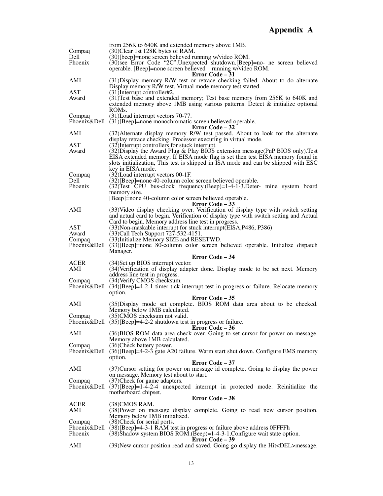|                    | from 256K to 640K and extended memory above 1MB.                                                                                                                                                                                                                            |
|--------------------|-----------------------------------------------------------------------------------------------------------------------------------------------------------------------------------------------------------------------------------------------------------------------------|
| Compaq<br>Dell     | (30)Clear 1st 128K bytes of RAM.<br>(30)[beep]=none screen believed running w/video ROM.                                                                                                                                                                                    |
| Phoenix            | (30) see Error Code "2C". Unexpected shutdown. [Beep] = no- ne screen believed<br>operable. [Beep]=none screen believed running w/video ROM.                                                                                                                                |
| AMI                | Error Code – 31<br>(31) Display memory R/W test or retrace checking failed. About to do alternate                                                                                                                                                                           |
| AST                | Display memory R/W test. Virtual mode memory test started.<br>$(31)$ Interrupt controller#2.                                                                                                                                                                                |
| Award              | (31) Test base and extended memory; Test base memory from 256K to 640K and<br>extended memory above 1MB using various patterns. Detect $\&$ initialize optional<br>ROM <sub>s</sub> .                                                                                       |
| Compaq             | (31) Load interrupt vectors 70-77.<br>Phoenix&Dell (31)[Beep]=none monochromatic screen believed operable.                                                                                                                                                                  |
| AMI                | Error Code – 32<br>(32) Alternate display memory R/W test passed. About to look for the alternate<br>display retrace checking. Processor executing in virtual mode.                                                                                                         |
| AST                | (32) Interrupt controllers for stuck interrupt.                                                                                                                                                                                                                             |
| Award              | (32) Display the Award Plug & Play BIOS extension message (PnP BIOS only). Test<br>EISA extended memory; If EISA mode flag is set then test EISA memory found in<br>slots initialization, This test is skipped in ISA mode and can be skipped with ESC<br>key in EISA mode. |
| Compaq             | (32) Load interrupt vectors 00-1F.                                                                                                                                                                                                                                          |
| Dell<br>Phoenix    | $(32)$ [Beep]=none 40-column color screen believed operable.<br>$(32)$ Test CPU bus-clock frequency. (Beep)=1-4-1-3. Deter- mine system board<br>memory size.                                                                                                               |
|                    | [Beep]=none 40-column color screen believed operable.<br>Error Code – 33                                                                                                                                                                                                    |
| AMI                | (33) Video display checking over. Verification of display type with switch setting                                                                                                                                                                                          |
|                    | and actual card to begin. Verification of display type with switch setting and Actual<br>Card to begin. Memory address line test in progress.                                                                                                                               |
| AST                | (33) Non-maskable interrupt for stuck interrupt (EISA, P486, P386)                                                                                                                                                                                                          |
| Award              | (33) Call Tech Support 727-532-4151.                                                                                                                                                                                                                                        |
| Compaq             | (33) Initialize Memory SIZE and RESETWD.<br>Phoenix&Dell (33)[Beep]=none 80-column color screen believed operable. Initialize dispatch                                                                                                                                      |
|                    | Manager.                                                                                                                                                                                                                                                                    |
|                    | Error Code – 34                                                                                                                                                                                                                                                             |
| <b>ACER</b><br>AMI | (34) Set up BIOS interrupt vector.<br>(34) Verification of display adapter done. Display mode to be set next. Memory<br>address line test in progress.                                                                                                                      |
| Compaq             | (34) Verify CMOS checksum.                                                                                                                                                                                                                                                  |
|                    | Phoenix&Dell (34)[Beep]=4-2-1 timer tick interrupt test in progress or failure. Relocate memory<br>option.                                                                                                                                                                  |
| AMI                | Error Code - 35<br>(35) Display mode set complete. BIOS ROM data area about to be checked.                                                                                                                                                                                  |
| Compaq             | Memory below 1MB calculated.<br>(35)CMOS checksum not valid.                                                                                                                                                                                                                |
|                    | Phoenix & Dell $(35)$ [Beep]=4-2-2 shutdown test in progress or failure.<br>Error Code - 36                                                                                                                                                                                 |
| AMI                | (36) BIOS ROM data area check over. Going to set cursor for power on message.<br>Memory above 1MB calculated.                                                                                                                                                               |
| Compaq             | (36)Check battery power.<br>Phoenix&Dell (36)[Beep]=4-2-3 gate A20 failure. Warm start shut down. Configure EMS memory                                                                                                                                                      |
|                    | option.                                                                                                                                                                                                                                                                     |
| AMI                | Error Code - 37<br>(37) Cursor setting for power on message id complete. Going to display the power<br>on message. Memory test about to start.                                                                                                                              |
| Compaq             | (37) Check for game adapters.                                                                                                                                                                                                                                               |
|                    | Phoenix&Dell $(37)$ [Beep]=1-4-2-4 unexpected interrupt in protected mode. Reinitialize the<br>motherboard chipset.                                                                                                                                                         |
| ACER               | <b>Error Code - 38</b><br>$(38)$ CMOS RAM.                                                                                                                                                                                                                                  |
| AMI                | (38) Power on message display complete. Going to read new cursor position.<br>Memory below 1MB initialized.                                                                                                                                                                 |
| Compaq             | (38) Check for serial ports.                                                                                                                                                                                                                                                |
| Phoenix            | Phoenix&Dell (38)[Beep]=4-3-1 RAM test in progress or failure above address 0FFFFh<br>(38) Shadow system BIOS ROM. (Beep) = 1-4-3-1. Configure wait state option.<br>Error Code – 39                                                                                        |
| AMI                | (39) New cursor position read and saved. Going go display the Hit <del>message.</del>                                                                                                                                                                                       |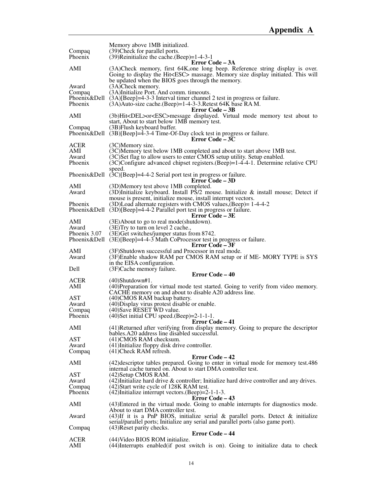| Compaq                                 | Memory above 1MB initialized.<br>(39) Check for parallel ports.                                                                                                                                                                                                     |
|----------------------------------------|---------------------------------------------------------------------------------------------------------------------------------------------------------------------------------------------------------------------------------------------------------------------|
| Phoenix                                | $(39)$ Reinitialize the cache. (Beep)=1-4-3-1<br>Error Code – 3A                                                                                                                                                                                                    |
| AMI                                    | (3A)Check memory, first 64K, one long beep. Reference string display is over.<br>Going to display the Hit <esc> massage. Memory size display initiated. This will<br/>be updated when the BIOS goes through the memory.</esc>                                       |
| Award<br>Compaq<br>Phoenix             | (3A)Check memory.<br>(3A)Initialize Port. And comm. timeouts.<br>Phoenix & Dell $(3A)[Beep]=4-3-3$ Interval timer channel 2 test in progress or failure.<br>(3A) Auto-size cache. (Beep)=1-4-3-3. Retest 64K base RAM.                                              |
| AMI                                    | Error Code – 3B<br>(3b)Hit <del>or<esc>message displayed. Virtual mode memory test about to<br/>start, About to start below 1MB memory test.</esc></del>                                                                                                            |
| Compaq                                 | (3B) Flush keyboard buffer.<br>Phoenix&Dell (3B)[Beep]=4-3-4 Time-Of-Day clock test in progress or failure.<br>Error Code – 3C                                                                                                                                      |
| <b>ACER</b><br>AMI<br>Award<br>Phoenix | (3C)Memory size.<br>(3C)Memory test below 1MB completed and about to start above 1MB test.<br>(3C)Set flag to allow users to enter CMOS setup utility. Setup enabled.<br>(3C)Configure advanced chipset registers. (Beep)=1-4-4-1. Determine relative CPU<br>speed. |
|                                        | Phoenix&Dell (3C)[Beep]=4-4-2 Serial port test in progress or failure.<br>Error Code – 3D                                                                                                                                                                           |
| AMI<br>Award                           | (3D)Memory test above 1MB completed.<br>(3D)Initialize keyboard. Install $\overline{PS}/2$ mouse. Initialize & install mouse; Detect if                                                                                                                             |
| Phoenix                                | mouse is present, initialize mouse, install interrupt vectors.<br>$(3D)$ Load alternate registers with CMOS values, $(Beep)=1-4-4-2$<br>Phoenix & Dell $(3D)$ [Beep] = 4-4-2 Parallel port test in progress or failure.<br><b>Error Code – 3E</b>                   |
| AMI<br>Award                           | (3E)About to go to real mode(shutdown).<br>(3E) Try to turn on level 2 cache.,                                                                                                                                                                                      |
| Phoenix 3.07                           | (3E)Get switches/jumper status from 8742.<br>Phoenix&Dell (3E)[Beep]=4-4-3 Math CoProcessor test in progress or failure.                                                                                                                                            |
| AMI<br>Award                           | <b>Error Code – 3F</b><br>(3F)Shutdown successful and Processor in real mode.<br>(3F)Enable shadow RAM per CMOS RAM setup or if ME-MORY TYPE is SYS                                                                                                                 |
| Dell                                   | in the EISA configuration.<br>(3F)Cache memory failure.                                                                                                                                                                                                             |
|                                        | <b>Error Code – 40</b>                                                                                                                                                                                                                                              |
| <b>ACER</b><br>AMI                     | $(40)$ Shutdown#1.<br>(40) Preparation for virtual mode test started. Going to verify from video memory.<br>CACHE memory on and about to disable A20 address line.                                                                                                  |
| AST<br>Award                           | (40) CMOS RAM backup battery.<br>(40) Display virus protest disable or enable.                                                                                                                                                                                      |
| Compaq<br>Phoenix                      | (40) Save RESET WD value.<br>$(40)$ Set initial CPU speed. $(Beep) = 2-1-1-1$ .                                                                                                                                                                                     |
| AMI                                    | Error Code - 41<br>(41) Returned after verifying from display memory. Going to prepare the descriptor                                                                                                                                                               |
| AST                                    | bables. A20 address line disabled successful.<br>(41)CMOS RAM checksum.                                                                                                                                                                                             |
| Award<br>Compaq                        | (41) Initialize floppy disk drive controller.<br>$(41)$ Check RAM refresh.                                                                                                                                                                                          |
| AMI                                    | <b>Error Code – 42</b><br>(42) descriptor tables prepared. Going to enter in virtual mode for memory test. 486<br>internal cache turned on. About to start DMA controller test.                                                                                     |
| <b>AST</b><br>Award                    | (42) Setup CMOS RAM.<br>$(42)$ Initialize hard drive & controller; Initialize hard drive controller and any drives.                                                                                                                                                 |
| Compaq<br>Phoenix                      | (42) Start write cycle of 128K RAM test.<br>(42) Initialize interrupt vectors. (Beep)=2-1-1-3.                                                                                                                                                                      |
| AMI                                    | Error Code – 43<br>(43) Entered in the virtual mode. Going to enable interrupts for diagnostics mode.                                                                                                                                                               |
| Award                                  | About to start DMA controller test.<br>$(43)$ If it is a PnP BIOS, initialize serial & parallel ports. Detect & initialize                                                                                                                                          |
| Compaq                                 | serial/parallel ports; Initialize any serial and parallel ports (also game port).<br>(43) Reset parity checks.<br>Error Code – 44                                                                                                                                   |
| <b>ACER</b><br>AMI                     | (44) Video BIOS ROM initialize.<br>(44) Interrupts enabled (if post switch is on). Going to initialize data to check                                                                                                                                                |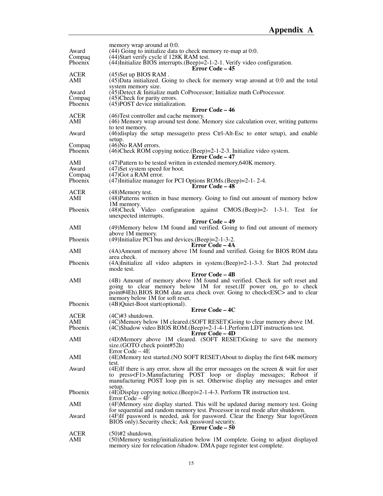|                    | memory wrap around at 0:0.                                                                                                                                       |
|--------------------|------------------------------------------------------------------------------------------------------------------------------------------------------------------|
| Award              | (44) Going to initialize data to check memory re-map at 0:0.<br>(44) Start verify cycle if 128K RAM test.                                                        |
| Compaq<br>Phoenix  | $(44)$ Initialize BIOS interrupts. (Beep)=2-1-2-1. Verify video configuration.                                                                                   |
|                    | <b>Error Code – 45</b>                                                                                                                                           |
| <b>ACER</b><br>AMI | $(45)$ Set up BIOS RAM.<br>$(45)$ Data initialized. Going to check for memory wrap around at 0:0 and the total                                                   |
|                    | system memory size.                                                                                                                                              |
| Award<br>Compaq    | $(45)$ Detect & Initialize math CoProcessor; Initialize math CoProcessor.<br>(45) Check for parity errors.                                                       |
| Phoenix            | $(45)$ POST device initialization.                                                                                                                               |
| <b>ACER</b>        | Error Code – 46<br>(46) Test controller and cache memory.                                                                                                        |
| AMI                | (46) Memory wrap around test done. Memory size calculation over, writing patterns                                                                                |
| Award              | to test memory.                                                                                                                                                  |
|                    | (46) display the setup message (to press Ctrl-Alt-Esc to enter setup), and enable<br>setup.                                                                      |
| Compaq             | $(46)$ No RAM errors.                                                                                                                                            |
| Phoenix            | $(46)$ Check ROM copying notice. $(Beep)=2-1-2-3$ . Initialize video system.<br><b>Error Code – 47</b>                                                           |
| AMI                | $(47)$ Pattern to be tested written in extended memory, 640K memory.                                                                                             |
| Award<br>Compaq    | (47) Set system speed for boot.<br>(47) Got a RAM error.                                                                                                         |
| Phoenix            | $(47)$ Initialize manager for PCI Options ROMs. (Beep)=2-1-2-4.                                                                                                  |
| <b>ACER</b>        | Error Code - 48<br>(48) Memory test.                                                                                                                             |
| AMI                | (48) Patterns written in base memory. Going to find out amount of memory below                                                                                   |
| Phoenix            | 1M memory.                                                                                                                                                       |
|                    | (48) Check Video configuration against CMOS. (Beep) = 2- 1-3-1. Test for<br>unexpected interrupts.                                                               |
|                    | Error Code - 49                                                                                                                                                  |
| AMI                | (49) Memory below 1M found and verified. Going to find out amount of memory<br>above 1M memory.                                                                  |
| Phoenix            | $(49)$ Initialize PCI bus and devices. $(Beep) = 2-1-3-2$ .                                                                                                      |
| AMI                | Error Code – 4A<br>(4A) Amount of memory above 1M found and verified. Going for BIOS ROM data                                                                    |
|                    | area check.                                                                                                                                                      |
| Phoenix            | (4A)Initialize all video adapters in system. (Beep)=2-1-3-3. Start 2nd protected<br>mode test.                                                                   |
|                    | <b>Error Code – 4B</b>                                                                                                                                           |
| AMI                | (4B) Amount of memory above 1M found and verified. Check for soft reset and                                                                                      |
|                    | going to clear memory below 1M for reset. (If power on, go to check<br>point#4Eh).BIOS ROM data area check over. Going to check <esc> and to clear</esc>         |
|                    | memory below 1M for soft reset.                                                                                                                                  |
| Phoenix            | (4B)Quiet-Boot start(optional).<br>Error Code – 4C                                                                                                               |
| <b>ACER</b>        | $(4C)$ #3 shutdown.                                                                                                                                              |
| AMI                | (4C)Memory below 1M cleared.(SOFT RESET)Going to clear memory above 1M.                                                                                          |
| Phoenix            | (4C)Shadow video BIOS ROM.(Beep)=2-1-4-1.Perform LDT instructions test.<br>Error Code – 4D                                                                       |
| AMI                | (4D)Memory above 1M cleared. (SOFT RESET)Going to save the memory                                                                                                |
|                    | size.(GOTO check point#52h)<br>Error Code $-4E$                                                                                                                  |
| AMI                | (4E)Memory test started. (NO SOFT RESET)About to display the first 64K memory                                                                                    |
| Award              | test.<br>(4E)If there is any error, show all the error messages on the screen $\&$ wait for user                                                                 |
|                    | to press <f1>.Manufacturing POST loop or display messages; Reboot if</f1>                                                                                        |
|                    | manufacturing POST loop pin is set. Otherwise display any messages and enter                                                                                     |
| Phoenix            | setup.<br>$(4E)$ Display copying notice. (Beep)=2-1-4-3. Perform TR instruction test.                                                                            |
|                    | Error Code $-4F$                                                                                                                                                 |
| AMI                | (4F)Memory size display started. This will be updated during memory test. Going<br>for sequential and random memory test. Processor in real mode after shutdown. |
| Award              | (4F)If password is needed, ask for password. Clear the Energy Star logo(Green                                                                                    |
|                    | BIOS only). Security check; Ask password security.<br><b>Error Code – 50</b>                                                                                     |
| <b>ACER</b>        | $(50)$ #2 shutdown.                                                                                                                                              |
| AMI                | (50)Memory testing/initialization below 1M complete. Going to adjust displayed<br>memory size for relocation /shadow. DMA page register test complete.           |
|                    |                                                                                                                                                                  |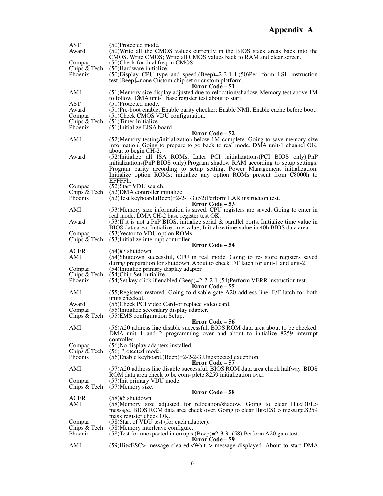| <b>AST</b><br>Award                 | (50)Protected mode.<br>(50) Write all the CMOS values currently in the BIOS stack areas back into the<br>CMOS. Write CMOS; Write all CMOS values back to RAM and clear screen.                                                                         |
|-------------------------------------|--------------------------------------------------------------------------------------------------------------------------------------------------------------------------------------------------------------------------------------------------------|
| Compaq<br>Chips & Tech              | (50) Check for dual freq in CMOS.<br>(50) Hardware initialize.                                                                                                                                                                                         |
| Phoenix                             | $(50)$ Display CPU type and speed. $(Beep)=2-2-1-1$ . $(50)$ Per-form LSL instruction<br>test. [Beep]=none Custom chip set or custom platform.<br>Error Code – 51                                                                                      |
| AMI                                 | (51) Memory size display adjusted due to relocation/shadow. Memory test above 1M<br>to follow. DMA unit-1 base register test about to start.                                                                                                           |
| <b>AST</b><br>Award                 | (51)Protected mode.<br>(51) Pre-boot enable; Enable parity checker; Enable NMI, Enable cache before boot.                                                                                                                                              |
| Compaq<br>Chips $&$ Tech<br>Phoenix | (51) Check CMOS VDU configuration.<br>$(51)$ Timer Initialize<br>(51) Initialize EISA board.                                                                                                                                                           |
|                                     | <b>Error Code – 52</b>                                                                                                                                                                                                                                 |
| AMI                                 | (52) Memory testing/initialization below 1M complete. Going to save memory size<br>information. Going to prepare to go back to real mode. DMA unit-1 channel OK,                                                                                       |
| Award                               | about to begin CH-2.<br>(52) Initialize all ISA ROMs. Later PCI initializations (PCI BIOS only). PnP                                                                                                                                                   |
|                                     | initializations(PnP BIOS only). Program shadow RAM according to setup settings.<br>Program parity according to setup setting. Power Management initialization.<br>Initialize option ROMs; initialize any option ROMs present from C8000h to<br>EFFFFh. |
| Compaq                              | (52) Start VDU search.                                                                                                                                                                                                                                 |
| Chips $&$ Tech<br>Phoenix           | (52) DMA controller initialize.<br>(52) Test keyboard. (Beep) = 2-2-1-3. (52) Perform LAR instruction test.<br>Error Code – 53                                                                                                                         |
| AMI                                 | (53) Memory size information is saved. CPU registers are saved. Going to enter in<br>real mode. DMA CH-2 base register test OK.                                                                                                                        |
| Award                               | $(53)$ If it is not a PnP BIOS, initialize serial & parallel ports. Initialize time value in<br>BIOS data area. Initialize time value; Initialize time value in 40h BIOS data area.                                                                    |
| Compaq<br>Chips & Tech              | (53) Vector to VDU option ROMs.<br>(53) Initialize interrupt controller.                                                                                                                                                                               |
|                                     |                                                                                                                                                                                                                                                        |
|                                     | <b>Error Code – 54</b>                                                                                                                                                                                                                                 |
| <b>ACER</b><br>AMI                  | $(54)$ #7 shutdown.<br>(54) Shutdown successful, CPU in real mode. Going to re- store registers saved                                                                                                                                                  |
| Compaq                              | during preparation for shutdown. About to check F/F latch for unit-1 and unit-2.<br>(54) Initialize primary display adapter.                                                                                                                           |
| Chips & Tech<br>Phoenix             | (54) Chip-Set Initialize.<br>$(54)$ Set key click if enabled. $(Beep) = 2-2-2-1$ . $(54)$ Perform VERR instruction test.                                                                                                                               |
| AMI                                 | Error Code – 55<br>(55) Registers restored. Going to disable gate A20 address line. F/F latch for both                                                                                                                                                 |
| Award                               | units checked.<br>(55) Check PCI video Card-or replace video card.                                                                                                                                                                                     |
| Compaq                              | (55) Initialize secondary display adapter.<br>Chips $& \text{Techn. } (55)$ EMS configuration Setup.                                                                                                                                                   |
|                                     | Error Code – 56                                                                                                                                                                                                                                        |
| AMI                                 | (56)A20 address line disable successful. BIOS ROM data area about to be checked.<br>DMA unit 1 and 2 programming over and about to initialize 8259 interrupt<br>controller.                                                                            |
| Compaq<br>Chips & Tech              | (56) No display adapters installed.<br>(56) Protected mode.                                                                                                                                                                                            |
| <b>Phoenix</b>                      | $(56)$ Enable keyboard. $(Beep)=2-2-2-3$ .Unexpected exception.                                                                                                                                                                                        |
| AMI                                 | <b>Error Code – 57</b><br>(57)A20 address line disable successful. BIOS ROM data area check halfway. BIOS                                                                                                                                              |
| Compaq<br>Chips & Tech              | ROM data area check to be com- plete.8259 initialization over.<br>(57) Init primary VDU mode.<br>$(57)$ Memory size.                                                                                                                                   |
|                                     | Error Code – 58                                                                                                                                                                                                                                        |
| <b>ACER</b><br>AMI                  | $(58)$ #6 shutdown.<br>(58) Memory size adjusted for relocation/shadow. Going to clear Hit <del><br/>message. BIOS ROM data area check over. Going to clear Hit<esc> message.8259</esc></del>                                                          |
|                                     | mask register check OK.                                                                                                                                                                                                                                |
| Compaq                              | (58) Start of VDU test (for each adapter).                                                                                                                                                                                                             |
| Chips & Tech<br>Phoenix             | (58) Memory interleave configure.<br>(58) Test for unexpected interrupts. (Beep)=2-3-3-. (58) Perform A20 gate test.<br>Error Code – 59                                                                                                                |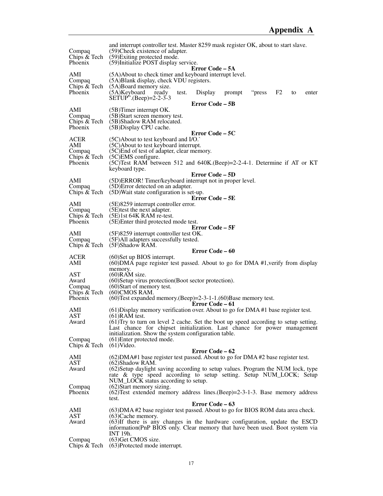| Compaq<br>Chips & Tech<br><b>Phoenix</b>         | and interrupt controller test. Master 8259 mask register OK, about to start slave.<br>(59) Check existence of adapter.<br>(59) Exiting protected mode.<br>(59) Initialize POST display service.                                                                                    |
|--------------------------------------------------|------------------------------------------------------------------------------------------------------------------------------------------------------------------------------------------------------------------------------------------------------------------------------------|
| AMI<br>Compaq<br>Chips & Tech<br>Phoenix         | Error Code – 5A<br>(5A) About to check timer and keyboard interrupt level.<br>(5A)Blank display, check VDU registers.<br>(5A)Board memory size.<br>$(5A)$ Keyboard<br>F <sub>2</sub><br>ready<br>Display<br>prompt<br>"press<br>test.<br>to<br>enter<br>$SETUP''$ . (Beep)=2-2-3-3 |
|                                                  | Error Code – 5B                                                                                                                                                                                                                                                                    |
| AMI<br>Compaq<br>Phoenix                         | (5B)Timer interrupt OK.<br>(5B) Start screen memory test.<br>Chips & Tech (5B)Shadow RAM relocated.<br>(5B) Display CPU cache.<br>Error Code – 5C                                                                                                                                  |
| ACER<br>AMI<br>Compaq<br>Chips & Tech<br>Phoenix | (5C) About to test keyboard and I/O.<br>(5C) About to test keyboard interrupt.<br>(5C) End of test of adapter, clear memory.<br>$(5C)$ EMS configure.<br>(5C)Test RAM between 512 and 640K. (Beep) = $2$ - $2$ - $4$ -1. Determine if AT or KT<br>keyboard type.                   |
|                                                  | Error Code – 5D                                                                                                                                                                                                                                                                    |
| AMI<br>Compaq                                    | (5D)ERROR! Timer/keyboard interrupt not in proper level.<br>(5D) Error detected on an adapter.<br>Chips $& \text{Techn. } (5D)$ Wait state configuration is set-up.                                                                                                                |
| AMI                                              | Error Code – 5E<br>(5E)8259 interrupt controller error.                                                                                                                                                                                                                            |
| Compaq                                           | (5E) test the next adapter.                                                                                                                                                                                                                                                        |
| Phoenix                                          | Chips $& \text{Techn } (5E)1st 64K RAM$ re-test.<br>(5E) Enter third protected mode test.<br>Error Code – 5F                                                                                                                                                                       |
| AMI<br>Compaq                                    | $(5F)8259$ interrupt controller test OK.<br>(5F)All adapters successfully tested.                                                                                                                                                                                                  |
| Chips & Tech                                     | (5F)Shadow RAM.                                                                                                                                                                                                                                                                    |
|                                                  | <b>Error Code – 60</b>                                                                                                                                                                                                                                                             |
| ACER<br>AMI                                      | $(60)$ Set up BIOS interrupt.<br>(60) DMA page register test passed. About to go for DMA #1, verify from display                                                                                                                                                                   |
| <b>AST</b>                                       | memory.<br>$(60)$ RAM size.                                                                                                                                                                                                                                                        |
| Award                                            | (60) Setup virus protection (Boot sector protection).                                                                                                                                                                                                                              |
| Compaq                                           | (60) Start of memory test.                                                                                                                                                                                                                                                         |
| Chips & Tech<br>Phoenix                          | $(60)$ CMOS RAM.<br>$(60)$ Test expanded memory.(Beep)=2-3-1-1.(60)Base memory test.                                                                                                                                                                                               |
|                                                  | Error Code – 61                                                                                                                                                                                                                                                                    |
| AMI<br>AST                                       | $(61)$ Display memory verification over. About to go for DMA #1 base register test.<br>$(61)$ RAM test.                                                                                                                                                                            |
| Award                                            | (61) Try to turn on level 2 cache. Set the boot up speed according to setup setting.<br>Last chance for chipset initialization. Last chance for power management                                                                                                                   |
| Compaq                                           | initialization. Show the system configuration table.<br>(61) Enter protected mode.                                                                                                                                                                                                 |
| Chips & Tech                                     | $(61)$ Video.                                                                                                                                                                                                                                                                      |
|                                                  | Error Code – 62                                                                                                                                                                                                                                                                    |
| AMI<br>AST                                       | (62) DMA#1 base register test passed. About to go for DMA#2 base register test.<br>(62)Shadow RAM.                                                                                                                                                                                 |
| Award                                            | (62) Setup daylight saving according to setup values. Program the NUM lock, type<br>rate & type speed according to setup setting. Setup NUM_LOCK; Setup<br>NUM_LOCK status according to setup.                                                                                     |
| Compaq                                           | (62) Start memory sizing.                                                                                                                                                                                                                                                          |
| Phoenix                                          | $(62)$ Test extended memory address lines. (Beep)=2-3-1-3. Base memory address                                                                                                                                                                                                     |
|                                                  | test.<br>Error Code – 63                                                                                                                                                                                                                                                           |
| AMI                                              | (63) DMA #2 base register test passed. About to go for BIOS ROM data area check.                                                                                                                                                                                                   |
| AST<br>Award                                     | $(63)$ Cache memory.<br>(63) If there is any changes in the hardware configuration, update the ESCD<br>information (PnP BIOS only. Clear memory that have been used. Boot system via                                                                                               |
| Compaq                                           | INT 19h.<br>(63) Get CMOS size.                                                                                                                                                                                                                                                    |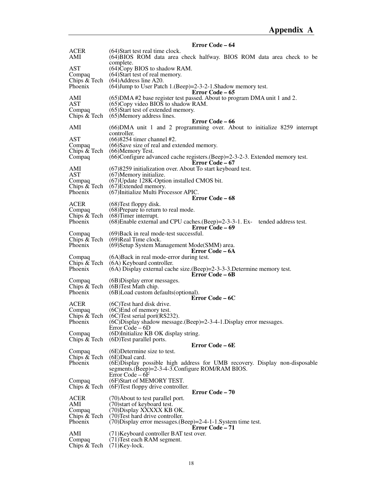|                                         | Error Code – 64                                                                                                                                                                                                      |
|-----------------------------------------|----------------------------------------------------------------------------------------------------------------------------------------------------------------------------------------------------------------------|
| <b>ACER</b><br>AMI                      | (64) Start test real time clock.<br>(64)BIOS ROM data area check halfway. BIOS ROM data area check to be<br>complete.                                                                                                |
| AST<br>Compaq                           | (64) Copy BIOS to shadow RAM.<br>$(64)$ Start test of real memory.                                                                                                                                                   |
| Chips & Tech<br>Phoenix                 | $(64)$ Address line A20.<br>(64) Jump to User Patch 1. (Beep) = 2-3-2-1. Shadow memory test.<br>Error Code – 65                                                                                                      |
| AMI<br><b>AST</b><br>Compaq             | (65) DMA #2 base register test passed. About to program DMA unit 1 and 2.<br>$(65)$ Copy video BIOS to shadow RAM.<br>(65) Start test of extended memory.<br>Chips $& \text{Techn} \quad (65)$ Memory address lines. |
|                                         | Error Code – 66                                                                                                                                                                                                      |
| AMI                                     | (66) DMA unit 1 and 2 programming over. About to initialize 8259 interrupt<br>controller.                                                                                                                            |
| AST<br>Compaq<br>Chips & Tech<br>Compaq | (66) 8254 timer channel #2.<br>(66)Save size of real and extended memory.<br>(66) Memory Test.<br>(66)Configure advanced cache registers. (Beep)=2-3-2-3. Extended memory test.                                      |
|                                         | <b>Error Code – 67</b>                                                                                                                                                                                               |
| AMI<br><b>AST</b>                       | (67)8259 initialization over. About To start keyboard test.<br>(67) Memory initialize.                                                                                                                               |
| Compaq<br>Chips & Tech                  | (67) Update 128K-Option installed CMOS bit.<br>$(67)$ Extended memory.                                                                                                                                               |
| Phoenix                                 | (67) Initialize Multi Processor APIC.                                                                                                                                                                                |
| <b>ACER</b>                             | <b>Error Code – 68</b><br>$(68)$ Test floppy disk.                                                                                                                                                                   |
| Compaq                                  | (68) Prepare to return to real mode.                                                                                                                                                                                 |
| Chips & Tech<br>Phoenix                 | $(68)$ Timer interrupt.<br>(68) Enable external and CPU caches. (Beep) = 2-3-3-1. Ex- tended address test.<br>Error Code – 69                                                                                        |
| Compaq                                  | (69) Back in real mode-test successful.<br>Chips $& \text{Techn } (69)$ Real Time clock.                                                                                                                             |
| Phoenix                                 | (69) Setup System Management Mode(SMM) area.<br>Error Code – 6A                                                                                                                                                      |
| Compaq<br>Chips & Tech                  | (6A) Back in real mode-error during test.<br>(6A) Keyboard controller.                                                                                                                                               |
| Phoenix                                 | $(6A)$ Display external cache size. (Beep)=2-3-3-3. Determine memory test.<br>Error Code – 6B                                                                                                                        |
| Compaq<br>Chips & Tech                  | (6B) Display error messages.                                                                                                                                                                                         |
| Phoenix                                 | (6B) Test Math chip.<br>(6B) Load custom defaults (optional).<br>Error Code – 6C                                                                                                                                     |
| ACER                                    | (6C) Test hard disk drive.                                                                                                                                                                                           |
| Compaq<br>Chips & Tech                  | (6C) End of memory test.<br>$(6C)$ Test serial port $(RS232)$ .                                                                                                                                                      |
| Phoenix                                 | (6C)Display shadow message.(Beep)=2-3-4-1.Display error messages.<br>Error Code – 6D                                                                                                                                 |
| Compaq<br>Chips & Tech                  | (6D)Initialize KB OK display string.<br>(6D) Test parallel ports.                                                                                                                                                    |
|                                         | Error Code – 6E                                                                                                                                                                                                      |
| Compaq<br>Chips & Tech                  | $(6E)$ Determine size to test.<br>$(6E)$ Dual card.                                                                                                                                                                  |
| Phoenix                                 | (6E) Display possible high address for UMB recovery. Display non-disposable<br>segments.(Beep)=2-3-4-3.Configure ROM/RAM BIOS.                                                                                       |
| Compaq<br>Chips $\&$ Tech               | Error Code – 6F<br>(6F)Start of MEMORY TEST.<br>(6F) Test floppy drive controller.                                                                                                                                   |
|                                         | Error Code - 70                                                                                                                                                                                                      |
| <b>ACER</b><br>AMI                      | (70) About to test parallel port.<br>(70) start of keyboard test.                                                                                                                                                    |
| Compaq                                  | (70) Display XXXXX KB OK.                                                                                                                                                                                            |
| Chips & Tech<br>Phoenix                 | (70) Test hard drive controller.<br>$(70)$ Display error messages. $(Beep)=2-4-1-1$ . System time test.                                                                                                              |
| AMI                                     | <b>Error Code – 71</b>                                                                                                                                                                                               |
| Compaq<br>Chips & Tech                  | (71) Keyboard controller BAT test over.<br>(71) Test each RAM segment.<br>$(71)$ Key-lock.                                                                                                                           |
|                                         |                                                                                                                                                                                                                      |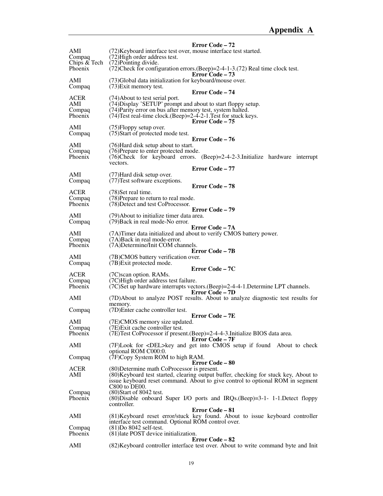|                               | Error Code – 72                                                                                                                                                                              |
|-------------------------------|----------------------------------------------------------------------------------------------------------------------------------------------------------------------------------------------|
| AMI<br>Compaq<br>Chips & Tech | (72) Keyboard interface test over, mouse interface test started.<br>(72) High order address test.<br>(72) Pointing divide.                                                                   |
| <b>Phoenix</b>                | $(72)$ Check for configuration errors. (Beep)=2-4-1-3. (72) Real time clock test.<br>Error Code – 73                                                                                         |
| AMI<br>Compaq                 | (73) Global data initialization for keyboard/mouse over.<br>$(73)$ Exit memory test.<br>Error Code – 74                                                                                      |
| ACER<br>AMI                   | (74) About to test serial port.<br>(74) Display 'SETUP' prompt and about to start floppy setup.                                                                                              |
| Compaq<br>Phoenix             | (74) Parity error on bus after memory test, system halted.<br>(74) Test real-time clock. (Beep) = 2-4-2-1. Test for stuck keys.<br>Error Code – 75                                           |
| AMI<br>Compaq                 | $(75)$ Floppy setup over.<br>(75) Start of protected mode test.<br>Error Code - 76                                                                                                           |
| AMI                           | (76) Hard disk setup about to start.                                                                                                                                                         |
| Compaq<br>Phoenix             | (76) Prepare to enter protected mode.<br>$(76)$ Check for keyboard errors. $(Beep)=2-4-2-3$ . Initialize hardware interrupt<br>vectors.                                                      |
|                               | Error Code - 77                                                                                                                                                                              |
| AMI<br>Compaq                 | (77) Hard disk setup over.<br>(77) Test software exceptions.                                                                                                                                 |
|                               | <b>Error Code – 78</b>                                                                                                                                                                       |
| <b>ACER</b><br>Compaq         | (78) Set real time.<br>(78) Prepare to return to real mode.                                                                                                                                  |
| Phoenix                       | (78) Detect and test CoProcessor.                                                                                                                                                            |
|                               | <b>Error Code – 79</b>                                                                                                                                                                       |
| AMI<br>Compaq                 | (79) About to initialize timer data area.<br>(79) Back in real mode-No error.<br>Error Code – 7A                                                                                             |
| AMI                           | (7A) Timer data initialized and about to verify CMOS battery power.                                                                                                                          |
| Compaq<br>Phoenix             | (7A)Back in real mode-error.<br>(7A) Determine/Init COM channels.                                                                                                                            |
|                               | <b>Error Code – 7B</b>                                                                                                                                                                       |
| AMI<br>Compaq                 | (7B)CMOS battery verification over.<br>(7B) Exit protected mode.                                                                                                                             |
|                               | Error Code – 7C                                                                                                                                                                              |
| <b>ACER</b>                   | (7C) scan option. RAMs.                                                                                                                                                                      |
| Compaq<br>Phoenix             | (7C) High order address test failure.<br>(7C)Set up hardware interrupts vectors. (Beep)=2-4-4-1. Determine LPT channels.                                                                     |
|                               | <b>Error Code – 7D</b>                                                                                                                                                                       |
| AMI                           | (7D) About to analyze POST results. About to analyze diagnostic test results for<br>memory.                                                                                                  |
| Compaq                        | (7D)Enter cache controller test.<br><b>Error Code – 7E</b>                                                                                                                                   |
| AMI                           | (7E)CMOS memory size updated.                                                                                                                                                                |
| Compaq<br>Phoenix             | (7E) Exit cache controller test.<br>(7E) Test CoProcessor if present. (Beep) = 2-4-4-3. Initialize BIOS data area.                                                                           |
|                               | Error Code – 7F                                                                                                                                                                              |
| AMI                           | (7F)Look for <del>key and get into CMOS setup if found About to check<br/>optional ROM C000:0.</del>                                                                                         |
| Compaq                        | (7F)Copy System ROM to high RAM.<br><b>Error Code – 80</b>                                                                                                                                   |
| <b>ACER</b>                   | (80) Determine math CoProcessor is present.                                                                                                                                                  |
| AMI                           | (80) Keyboard test started, clearing output buffer, checking for stuck key, About to<br>issue keyboard reset command. About to give control to optional ROM in segment<br>$C800$ to $DE00$ . |
| Compaq                        | $(80)$ Start of 8042 test.                                                                                                                                                                   |
| Phoenix                       | (80) Disable onboard Super I/O ports and IRQs.(Beep)=3-1- 1-1. Detect floppy<br>controller.                                                                                                  |
| AMI                           | Error Code – 81<br>(81) Keyboard reset error/stuck key found. About to issue keyboard controller                                                                                             |
|                               | interface test command. Optional ROM control over.                                                                                                                                           |
| Compaq<br>Phoenix             | $(81)$ Do 8042 self-test.<br>(81) late POST device initialization.                                                                                                                           |
| AMI                           | Error Code – 82<br>(82) Keyboard controller interface test over. About to write command byte and Init                                                                                        |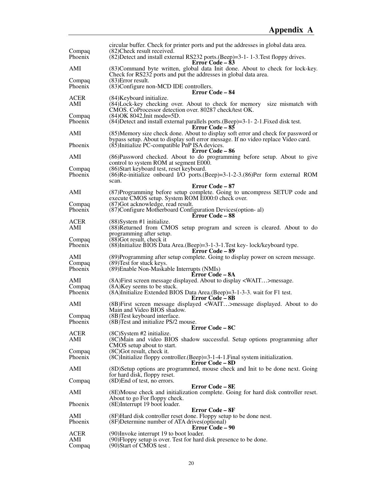| Compaq             | circular buffer. Check for printer ports and put the addresses in global data area.<br>(82) Check result received.                                                                          |
|--------------------|---------------------------------------------------------------------------------------------------------------------------------------------------------------------------------------------|
| Phoenix            | (82) Detect and install external RS232 ports. (Beep)=3-1-1-3. Test floppy drives.<br><b>Error Code – 83</b>                                                                                 |
| AMI                | (83) Command byte written, global data Init done. About to check for lock-key.<br>Check for RS232 ports and put the addresses in global data area.                                          |
| Compaq<br>Phoenix  | $(83)$ Error result.<br>(83) Configure non-MCD IDE controllers.                                                                                                                             |
| ACER               | <b>Error Code – 84</b><br>(84) Keyboard initialize.                                                                                                                                         |
| AMI                | (84) Lock-key checking over. About to check for memory size mismatch with<br>CMOS. CoProcessor detection over. 80287 check/test OK.                                                         |
| Compaq<br>Phoenix  | (84) OK 8042, Init mode=5D.<br>$(84)$ Detect and install external parallels ports. $(Beep)=3-1-2-1$ . Fixed disk test.                                                                      |
| AMI                | Error Code – 85<br>(85) Memory size check done. About to display soft error and check for password or<br>bypass setup. About to display soft error message. If no video replace Video card. |
| Phoenix            | (85) Initialize PC-compatible PnP ISA devices.<br>Error Code – 86                                                                                                                           |
| AMI                | (86) Password checked. About to do programming before setup. About to give<br>control to system ROM at segment E000.                                                                        |
| Compaq<br>Phoenix  | (86) Start keyboard test, reset keyboard.<br>(86)Re-initialize onboard I/O ports.(Beep)=3-1-2-3.(86)Per form external ROM<br>scan.                                                          |
| AMI                | Error Code – 87<br>(87) Programming before setup complete. Going to uncompress SETUP code and                                                                                               |
| Compaq             | execute CMOS setup. System ROM E000:0 check over.<br>(87) Got acknowledge, read result.                                                                                                     |
| Phoenix            | (87) Configure Motherboard Configuration Devices (option-al)<br>Error Code - 88                                                                                                             |
| <b>ACER</b><br>AMI | $(88)$ System #1 initialize.<br>(88) Returned from CMOS setup program and screen is cleared. About to do                                                                                    |
|                    | programming after setup.                                                                                                                                                                    |
| Compaq<br>Phoenix  | $(88)$ Got result, check it<br>(88) Initialize BIOS Data Area. (Beep)=3-1-3-1. Test key-lock/keyboard type.<br><b>Error Code – 89</b>                                                       |
| AMI                | (89) Programming after setup complete. Going to display power on screen message.                                                                                                            |
| Compaq<br>Phoenix  | (89) Test for stuck keys.<br>(89) Enable Non-Maskable Interrupts (NMIs)<br>Error Code – 8A                                                                                                  |
| AMI                | (8A) First screen message displayed. About to display <wait>message.</wait>                                                                                                                 |
| Compaq<br>Phoenix  | (8A) Key seems to be stuck.<br>(8A)Initialize Extended BIOS Data Area.(Beep)=3-1-3-3. wait for F1 test.                                                                                     |
|                    | <b>Error Code – 8B</b>                                                                                                                                                                      |
| AMI<br>Compaq      | (8B) First screen message displayed <wait>message displayed. About to do<br/>Main and Video BIOS shadow.<br/>(8B) Test keyboard interface.</wait>                                           |
| Phoenix            | (8B) Test and initialize PS/2 mouse.                                                                                                                                                        |
| <b>ACER</b>        | Error Code - 8C<br>$(8C)$ System #2 initialize.                                                                                                                                             |
| AMI                | (8C) Main and video BIOS shadow successful. Setup options programming after<br>CMOS setup about to start.                                                                                   |
| Compaq<br>Phoenix  | $(8C)$ Got result, check it.<br>(8C)Initialize floppy controller. (Beep)=3-1-4-1. Final system initialization.                                                                              |
| AMI                | <b>Error Code – 8D</b><br>(8D) Setup options are programmed, mouse check and Init to be done next. Going                                                                                    |
| Compaq             | for hard disk, floppy reset.<br>$(8D)$ End of test, no errors.                                                                                                                              |
|                    | <b>Error Code – 8E</b>                                                                                                                                                                      |
| AMI                | (8E) Mouse check and initialization complete. Going for hard disk controller reset.<br>About to go For floppy check.                                                                        |
| Phoenix            | (8E)Interrupt 19 boot loader.                                                                                                                                                               |
| AMI                | Error Code – 8F<br>(8F) Hard disk controller reset done. Floppy setup to be done nest.                                                                                                      |
| Phoenix            | (8F) Determine number of ATA drives (optional)<br><b>Error Code – 90</b>                                                                                                                    |
| <b>ACER</b><br>AMI | (90) Invoke interrupt 19 to boot loader.<br>(90) Floppy setup is over. Test for hard disk presence to be done.                                                                              |
| Compaq             | (90) Start of CMOS test.                                                                                                                                                                    |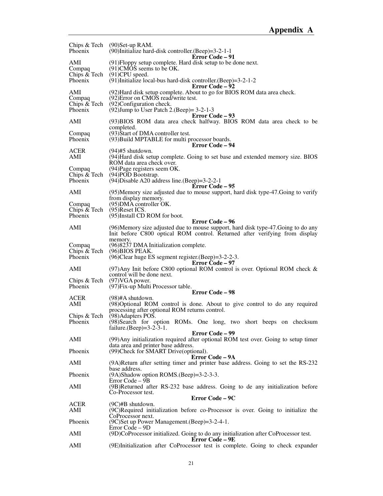| Phoenix                                  | Chips $& \text{Techn } (90)$ Set-up RAM.<br>$(90)$ Initialize hard-disk controller. (Beep)=3-2-1-1                         |
|------------------------------------------|----------------------------------------------------------------------------------------------------------------------------|
| AMI<br>Compaq                            | <b>Error Code – 91</b><br>(91) Floppy setup complete. Hard disk setup to be done next.<br>$(91)$ CMOS seems to be OK.      |
| Phoenix                                  | Chips $& \text{Techn } (91)$ CPU speed.<br>$(91)$ Initialize local-bus hard-disk controller.(Beep)=3-2-1-2                 |
| AMI                                      | <b>Error Code – 92</b><br>(92) Hard disk setup complete. About to go for BIOS ROM data area check.                         |
| Compaq<br>Chips & Tech<br><b>Phoenix</b> | (92) Error on CMOS read/write test.<br>(92) Configuration check.<br>(92) Jump to User Patch 2. (Beep) = $3-2-1-3$          |
| AMI                                      | <b>Error Code – 93</b><br>(93)BIOS ROM data area check halfway. BIOS ROM data area check to be                             |
| Compaq<br>Phoenix                        | completed.<br>(93) Start of DMA controller test.<br>(93) Build MPTABLE for multi processor boards.                         |
| <b>ACER</b>                              | Error Code – 94<br>$(94)$ #5 shutdown.                                                                                     |
| AMI                                      | (94) Hard disk setup complete. Going to set base and extended memory size. BIOS<br>ROM data area check over.               |
| Compaq                                   | (94) Page registers seem OK.                                                                                               |
| Chips & Tech<br>Phoenix                  | (94)POD Bootstrap.<br>$(94)$ Disable A20 address line. (Beep)=3-2-2-1<br><b>Error Code – 95</b>                            |
| AMI                                      | (95) Memory size adjusted due to mouse support, hard disk type-47. Going to verify<br>from display memory.                 |
| Compaq                                   | $(95)$ DMA controller OK.                                                                                                  |
| Chips & Tech<br>Phoenix                  | $(95)$ Reset ICS.<br>(95)Install CD ROM for boot.                                                                          |
| AMI                                      | <b>Error Code – 96</b><br>(96) Memory size adjusted due to mouse support, hard disk type-47. Going to do any               |
|                                          | Init before C800 optical ROM control. Returned after verifying from display<br>memory.                                     |
| Compaq                                   | (96)8237 DMA Initialization complete.                                                                                      |
| Chips & Tech<br><b>Phoenix</b>           | $(96)$ BIOS PEAK.<br>$(96)$ Clear huge ES segment register. $(Beep) = 3-2-2-3$ .<br>Error Code – 97                        |
| AMI                                      | (97) Any Init before C800 optional ROM control is over. Optional ROM check $\&$<br>control will be done next.              |
| Chips & Tech<br>Phoenix                  | $(97)$ VGA power.<br>(97) Fix-up Multi Processor table.                                                                    |
|                                          | Error Code - 98                                                                                                            |
| <b>ACER</b><br>AMI                       | $(98)$ #A shutdown.<br>(98) Optional ROM control is done. About to give control to do any required                         |
|                                          | processing after optional ROM returns control.                                                                             |
| Chips & Tech<br>Phoenix                  | (98) Adapters POS.<br>(98) Search for option ROMs. One long, two short beeps on checksum                                   |
|                                          | failure. (Beep)= $3-2-3-1$ .<br><b>Error Code – 99</b>                                                                     |
| AMI                                      | (99) Any initialization required after optional ROM test over. Going to setup timer<br>data area and printer base address. |
| Phoenix                                  | (99) Check for SMART Drive (optional).<br>Error Code – 9A                                                                  |
| AMI                                      | (9A)Return after setting timer and printer base address. Going to set the RS-232<br>base address.                          |
| Phoenix                                  | (9A)Shadow option ROMS.(Beep)=3-2-3-3.<br>Error Code $-9B$                                                                 |
| AMI                                      | (9B)Returned after RS-232 base address. Going to de any initialization before<br>Co-Processor test.                        |
|                                          | Error Code – 9C                                                                                                            |
| ACER<br>AMI                              | $(9C)$ #B shutdown.<br>(9C)Required initialization before co-Processor is over. Going to initialize the                    |
| Phoenix                                  | CoProcessor next.<br>(9C)Set up Power Management. (Beep)=3-2-4-1.<br>Error Code – 9D                                       |
| AMI                                      | (9D)CoProcessor initialized. Going to do any initialization after CoProcessor test.<br>Error Code – 9E                     |
| AMI                                      | (9E)Initialization after CoProcessor test is complete. Going to check expander                                             |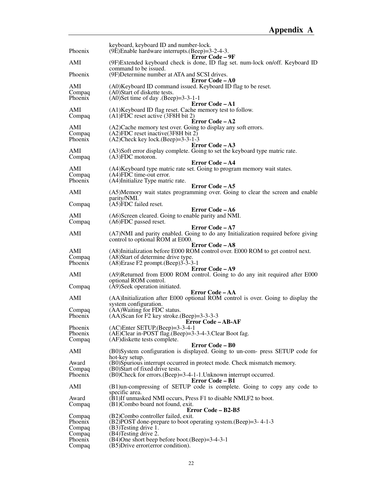| Phoenix            | keyboard, keyboard ID and number-lock.<br>(9E)Enable hardware interrupts.(Beep)=3-2-4-3.                     |
|--------------------|--------------------------------------------------------------------------------------------------------------|
|                    | <b>Error Code – 9F</b>                                                                                       |
| AMI                | (9F)Extended keyboard check is done, ID flag set. num-lock on/off. Keyboard ID<br>command to be issued.      |
| Phoenix            | (9F) Determine number at ATA and SCSI drives.<br>Error Code – A0                                             |
| AMI                | (A0) Keyboard ID command issued. Keyboard ID flag to be reset.                                               |
| Compaq<br>Phoenix  | (A0)Start of diskette tests.<br>$(A0)$ Set time of day $(Beep)=3-3-1-1$                                      |
|                    | <b>Error Code – A1</b>                                                                                       |
| AMI<br>Compaq      | (A1) Keyboard ID flag reset. Cache memory test to follow.<br>$(A1)FDC$ reset active (3F8H bit 2)             |
| AMI                | Error Code – A2<br>(A2) Cache memory test over. Going to display any soft errors.                            |
| Compaq             | (A2)FDC reset inactive (3F8H bit 2)                                                                          |
| Phoenix            | $(A2)$ Check key lock. $(Beep)=3-3-1-3$<br><b>Error Code – A3</b>                                            |
| AMI                | (A3)Soft error display complete. Going to set the keyboard type matric rate.                                 |
| Compaq             | $(A3)FDC$ motoron.                                                                                           |
| AMI                | Error Code - A4<br>(A4) Keyboard type matric rate set. Going to program memory wait states.                  |
| Compaq             | (A4)FDC time-out error.                                                                                      |
| Phoenix            | (A4)Initialize Type matric rate.<br>Error Code - A5                                                          |
| AMI                | (A5)Memory wait states programming over. Going to clear the screen and enable                                |
|                    | parity/NMI.                                                                                                  |
| Compaq             | (A5)FDC failed reset.<br>Error Code – A6                                                                     |
| AMI                | (A6)Screen cleared. Going to enable parity and NMI.                                                          |
| Compaq             | $(AG)FDC$ passed reset.                                                                                      |
| AMI                | <b>Error Code – A7</b><br>(A7) NMI and parity enabled. Going to do any Initialization required before giving |
|                    | control to optional ROM at E000.                                                                             |
| AMI                | Error Code – A8<br>(A8)Initialization before E000 ROM control over. E000 ROM to get control next.            |
| Compaq             | (A8) Start of determine drive type.                                                                          |
| Phoenix            | $(A8)$ Erase F2 prompt. $(Beep)$ 3-3-3-1<br><b>Error Code – A9</b>                                           |
| AMI                | (A9)Returned from E000 ROM control. Going to do any init required after E000                                 |
|                    | optional ROM control.                                                                                        |
| Compaq             | (A9) Seek operation initiated.<br><b>Error Code - AA</b>                                                     |
| AMI                | (AA)Initialization after E000 optional ROM control is over. Going to display the                             |
| Compaq             | system configuration.<br>(AA) Waiting for FDC status.                                                        |
| Phoenix            | $(AA)$ Scan for F2 key stroke. $(Beep)=3-3-3-3$                                                              |
|                    | Error Code – AB-AF                                                                                           |
| Phoenix<br>Phoenix | $(AC)$ Enter SETUP. $(Beep) = 3-3-4-1$<br>(AE)Clear in-POST flag.(Beep)=3-3-4-3.Clear Boot fag.              |
| Compaq             | (AF) diskette tests complete.                                                                                |
| AMI                | <b>Error Code – B0</b><br>(B0)System configuration is displayed. Going to un-com- press SETUP code for       |
|                    | hot-key setup.                                                                                               |
| Award              | (B0)Spurious interrupt occurred in protect mode. Check mismatch memory.                                      |
| Compaq<br>Phoenix  | (B0) Start of fixed drive tests.<br>(B0)Check for errors. (Beep)=3-4-1-1. Unknown interrupt occurred.        |
|                    | Error Code – B1                                                                                              |
| AMI                | (B1)un-compressing of SETUP code is complete. Going to copy any code to                                      |
| Award              | specific area.<br>(B1)If unmasked NMI occurs, Press F1 to disable NMI, F2 to boot.                           |
| Compaq             | (B1)Combo board not found, exit.                                                                             |
| Compaq             | Error Code – B2-B5<br>(B2)Combo controller failed, exit.                                                     |
| Phoenix            | (B2)POST done-prepare to boot operating system. (Beep)=3-4-1-3                                               |
| Compaq             | (B3) Testing drive 1.                                                                                        |
| Compaq<br>Phoenix  | (B4)Testing drive 2.<br>(B4)One short beep before boot.(Beep)=3-4-3-1                                        |
| Compaq             | (B5) Drive error (error condition).                                                                          |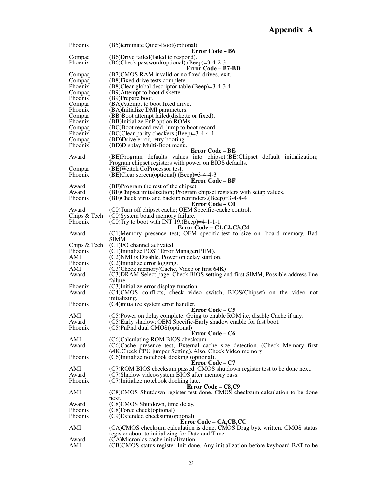| Phoenix      | (B5)terminate Quiet-Boot(optional)                                                                                                               |
|--------------|--------------------------------------------------------------------------------------------------------------------------------------------------|
|              | Error Code – B6                                                                                                                                  |
| Compaq       | (B6)Drive failed (failed to respond).                                                                                                            |
| Phoenix      | $(B6)$ Check password(optional).(Beep)=3-4-2-3<br>Error Code – B7-BD                                                                             |
| Compaq       | (B7)CMOS RAM invalid or no fixed drives, exit.                                                                                                   |
| Compaq       | (B8) Fixed drive tests complete.                                                                                                                 |
| Phoenix      | (B8)Clear global descriptor table.(Beep)=3-4-3-4                                                                                                 |
| Compaq       | (B9) Attempt to boot diskette.                                                                                                                   |
| Phoenix      | (B9)Prepare boot.                                                                                                                                |
| Compaq       | (BA)Attempt to boot fixed drive.                                                                                                                 |
| Phoenix      | (BA)Initialize DMI parameters.                                                                                                                   |
| Compaq       | (BB) Boot attempt failed (diskette or fixed).                                                                                                    |
| Phoenix      | (BB)Initialize PnP option ROMs.                                                                                                                  |
| Compaq       | (BC)Boot record read, jump to boot record.                                                                                                       |
| Phoenix      | $(BC)$ Clear parity checkers. $(Beep) = 3-4-4-1$                                                                                                 |
| Compaq       | (BD) Drive error, retry booting.                                                                                                                 |
| Phoenix      | (BD) Display Multi-Boot menu.                                                                                                                    |
| Award        | <b>Error Code – BE</b>                                                                                                                           |
|              | (BE)Program defaults values into chipset. (BE)Chipset default initialization;<br>Program chipset registers with power on BIOS defaults.          |
| Compaq       | (BE) Weitck CoProcessor test.                                                                                                                    |
| Phoenix      | $(BE)$ Clear screen(optional).(Beep)=3-4-4-3                                                                                                     |
|              | Error Code – BF                                                                                                                                  |
| Award        | (BF)Program the rest of the chipset                                                                                                              |
| Award        | (BF)Chipset initialization; Program chipset registers with setup values.                                                                         |
| Phoenix      | $(BF)$ Check virus and backup reminders. $(Beep) = 3-4-4-4$                                                                                      |
|              | Error Code – C0                                                                                                                                  |
| Award        | (C0) Turn off chipset cache; OEM Specific-cache control.                                                                                         |
| Chips & Tech | (C0)System board memory failure.                                                                                                                 |
| Phoenix      | $(C0)$ Try to boot with INT 19.(Beep)=4-1-1-1                                                                                                    |
|              | Error Code – $C1, C2, C3, C4$                                                                                                                    |
| Award        | (C1)Memory presence test; OEM specific-test to size on- board memory. Bad<br>SIMM.                                                               |
| Chips & Tech | (C1)I/O channel activated.                                                                                                                       |
| Phoenix      | (C1)Initialize POST Error Manager(PEM).                                                                                                          |
| AMI          | (C2) NMI is Disable. Power on delay start on.                                                                                                    |
| Phoenix      | (C2)Initialize error logging.                                                                                                                    |
| AMI          | (C3) Check memory (Cache, Video or first 64K)                                                                                                    |
| Award        | (C3) DRAM Select page, Check BIOS setting and first SIMM, Possible address line                                                                  |
|              | failure.                                                                                                                                         |
| Phoenix      | (C3)Initialize error display function.                                                                                                           |
| Award        | (C4)CMOS conflicts, check video switch, BIOS(Chipset) on the video not                                                                           |
|              | initializing.                                                                                                                                    |
| Phoenix      | (C4) initialize system error handler.                                                                                                            |
|              | Error Code – C5                                                                                                                                  |
| AMI<br>Award | (C5)Power on delay complete. Going to enable ROM i.c. disable Cache if any.<br>(C5)Early shadow; OEM Specific-Early shadow enable for fast boot. |
| Phoenix      | (C5)PnPnd dual CMOS(optional)                                                                                                                    |
|              | Error Code – C6                                                                                                                                  |
| AMI          | (C6)Calculating ROM BIOS checksum.                                                                                                               |
| Award        | (C6)Cache presence test; External cache size detection. (Check Memory first)                                                                     |
|              | 64K. Check CPU jumper Setting). Also, Check Video memory                                                                                         |
| Phoenix      | (C6)Initialize notebook docking (optional).                                                                                                      |
|              | Error Code – C7                                                                                                                                  |
| AMI          | (C7)ROM BIOS checksum passed. CMOS shutdown register test to be done next.                                                                       |
| Award        | (C7)Shadow video/system BIOS after memory pass.                                                                                                  |
| Phoenix      | (C7)Initialize notebook docking late.                                                                                                            |
|              | Error Code – C8,C9                                                                                                                               |
| AMI          | (C8)CMOS Shutdown register test done. CMOS checksum calculation to be done<br>next.                                                              |
| Award        | (C8)CMOS Shutdown, time delay.                                                                                                                   |
| Phoenix      | (C8)Force check(optional)                                                                                                                        |
| Phoenix      | (C9)Extended checksum(optional)                                                                                                                  |
|              | Error Code - CA, CB, CC                                                                                                                          |
| AMI          | (CA)CMOS checksum calculation is done, CMOS Drag byte written. CMOS status                                                                       |
|              | register about to initializing for Date and Time.                                                                                                |
| Award        | (CA)Micronics cache initialization.                                                                                                              |
| AMI          | (CB)CMOS status register Init done. Any initialization before keyboard BAT to be                                                                 |